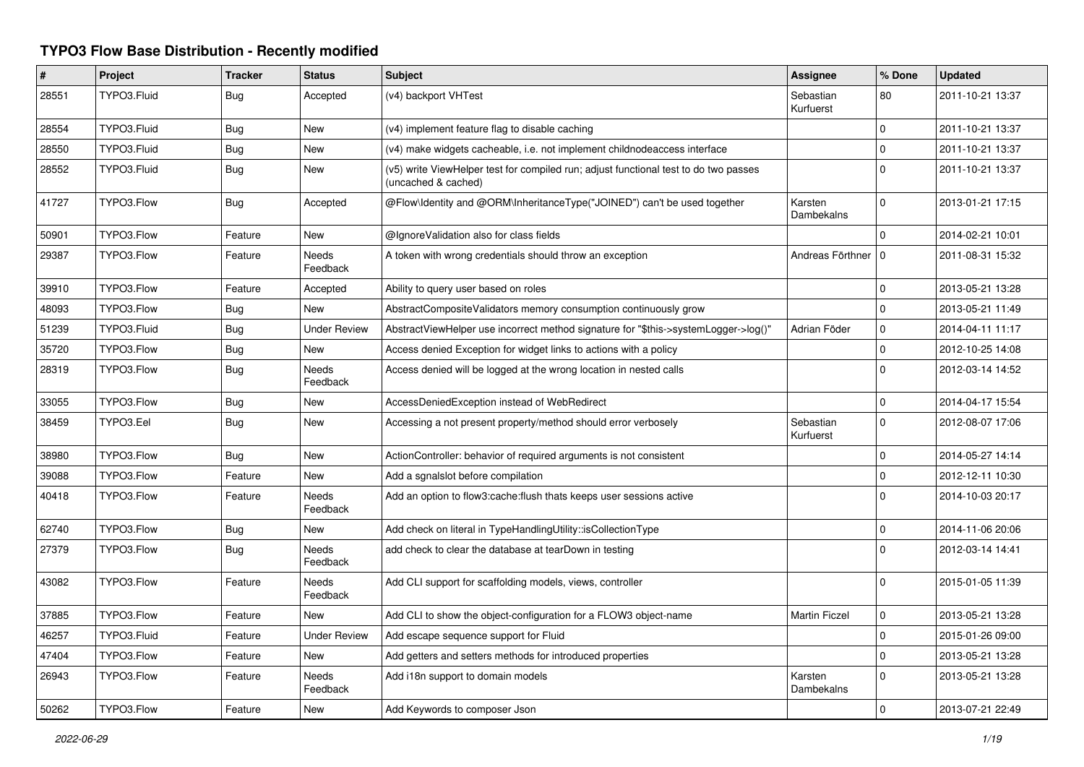## **TYPO3 Flow Base Distribution - Recently modified**

| #     | Project     | <b>Tracker</b> | <b>Status</b>            | <b>Subject</b>                                                                                              | <b>Assignee</b>        | % Done         | <b>Updated</b>   |
|-------|-------------|----------------|--------------------------|-------------------------------------------------------------------------------------------------------------|------------------------|----------------|------------------|
| 28551 | TYPO3.Fluid | <b>Bug</b>     | Accepted                 | (v4) backport VHTest                                                                                        | Sebastian<br>Kurfuerst | 80             | 2011-10-21 13:37 |
| 28554 | TYPO3.Fluid | Bug            | <b>New</b>               | (v4) implement feature flag to disable caching                                                              |                        | $\mathbf 0$    | 2011-10-21 13:37 |
| 28550 | TYPO3.Fluid | Bug            | New                      | (v4) make widgets cacheable, i.e. not implement childnodeaccess interface                                   |                        | $\pmb{0}$      | 2011-10-21 13:37 |
| 28552 | TYPO3.Fluid | <b>Bug</b>     | New                      | (v5) write ViewHelper test for compiled run; adjust functional test to do two passes<br>(uncached & cached) |                        | $\overline{0}$ | 2011-10-21 13:37 |
| 41727 | TYPO3.Flow  | Bug            | Accepted                 | @Flow\Identity and @ORM\InheritanceType("JOINED") can't be used together                                    | Karsten<br>Dambekalns  | $\mathbf 0$    | 2013-01-21 17:15 |
| 50901 | TYPO3.Flow  | Feature        | <b>New</b>               | @IgnoreValidation also for class fields                                                                     |                        | $\Omega$       | 2014-02-21 10:01 |
| 29387 | TYPO3.Flow  | Feature        | <b>Needs</b><br>Feedback | A token with wrong credentials should throw an exception                                                    | Andreas Förthner   0   |                | 2011-08-31 15:32 |
| 39910 | TYPO3.Flow  | Feature        | Accepted                 | Ability to query user based on roles                                                                        |                        | $\mathbf 0$    | 2013-05-21 13:28 |
| 48093 | TYPO3.Flow  | <b>Bug</b>     | <b>New</b>               | AbstractCompositeValidators memory consumption continuously grow                                            |                        | $\overline{0}$ | 2013-05-21 11:49 |
| 51239 | TYPO3.Fluid | <b>Bug</b>     | <b>Under Review</b>      | AbstractViewHelper use incorrect method signature for "\$this->systemLogger->log()"                         | Adrian Föder           | $\mathbf 0$    | 2014-04-11 11:17 |
| 35720 | TYPO3.Flow  | Bug            | New                      | Access denied Exception for widget links to actions with a policy                                           |                        | $\mathbf 0$    | 2012-10-25 14:08 |
| 28319 | TYPO3.Flow  | <b>Bug</b>     | <b>Needs</b><br>Feedback | Access denied will be logged at the wrong location in nested calls                                          |                        | $\overline{0}$ | 2012-03-14 14:52 |
| 33055 | TYPO3.Flow  | <b>Bug</b>     | <b>New</b>               | AccessDeniedException instead of WebRedirect                                                                |                        | $\mathbf 0$    | 2014-04-17 15:54 |
| 38459 | TYPO3.Eel   | <b>Bug</b>     | New                      | Accessing a not present property/method should error verbosely                                              | Sebastian<br>Kurfuerst | $\overline{0}$ | 2012-08-07 17:06 |
| 38980 | TYPO3.Flow  | Bug            | New                      | ActionController: behavior of required arguments is not consistent                                          |                        | $\mathbf 0$    | 2014-05-27 14:14 |
| 39088 | TYPO3.Flow  | Feature        | New                      | Add a sgnalslot before compilation                                                                          |                        | $\mathbf 0$    | 2012-12-11 10:30 |
| 40418 | TYPO3.Flow  | Feature        | Needs<br>Feedback        | Add an option to flow3:cache: flush thats keeps user sessions active                                        |                        | $\Omega$       | 2014-10-03 20:17 |
| 62740 | TYPO3.Flow  | <b>Bug</b>     | New                      | Add check on literal in TypeHandlingUtility::isCollectionType                                               |                        | $\mathbf 0$    | 2014-11-06 20:06 |
| 27379 | TYPO3.Flow  | Bug            | Needs<br>Feedback        | add check to clear the database at tearDown in testing                                                      |                        | $\mathbf 0$    | 2012-03-14 14:41 |
| 43082 | TYPO3.Flow  | Feature        | <b>Needs</b><br>Feedback | Add CLI support for scaffolding models, views, controller                                                   |                        | $\Omega$       | 2015-01-05 11:39 |
| 37885 | TYPO3.Flow  | Feature        | <b>New</b>               | Add CLI to show the object-configuration for a FLOW3 object-name                                            | <b>Martin Ficzel</b>   | $\mathbf 0$    | 2013-05-21 13:28 |
| 46257 | TYPO3.Fluid | Feature        | <b>Under Review</b>      | Add escape sequence support for Fluid                                                                       |                        | 0              | 2015-01-26 09:00 |
| 47404 | TYPO3.Flow  | Feature        | New                      | Add getters and setters methods for introduced properties                                                   |                        | $\overline{0}$ | 2013-05-21 13:28 |
| 26943 | TYPO3.Flow  | Feature        | <b>Needs</b><br>Feedback | Add i18n support to domain models                                                                           | Karsten<br>Dambekalns  | $\mathbf 0$    | 2013-05-21 13:28 |
| 50262 | TYPO3.Flow  | Feature        | New                      | Add Keywords to composer Json                                                                               |                        | $\Omega$       | 2013-07-21 22:49 |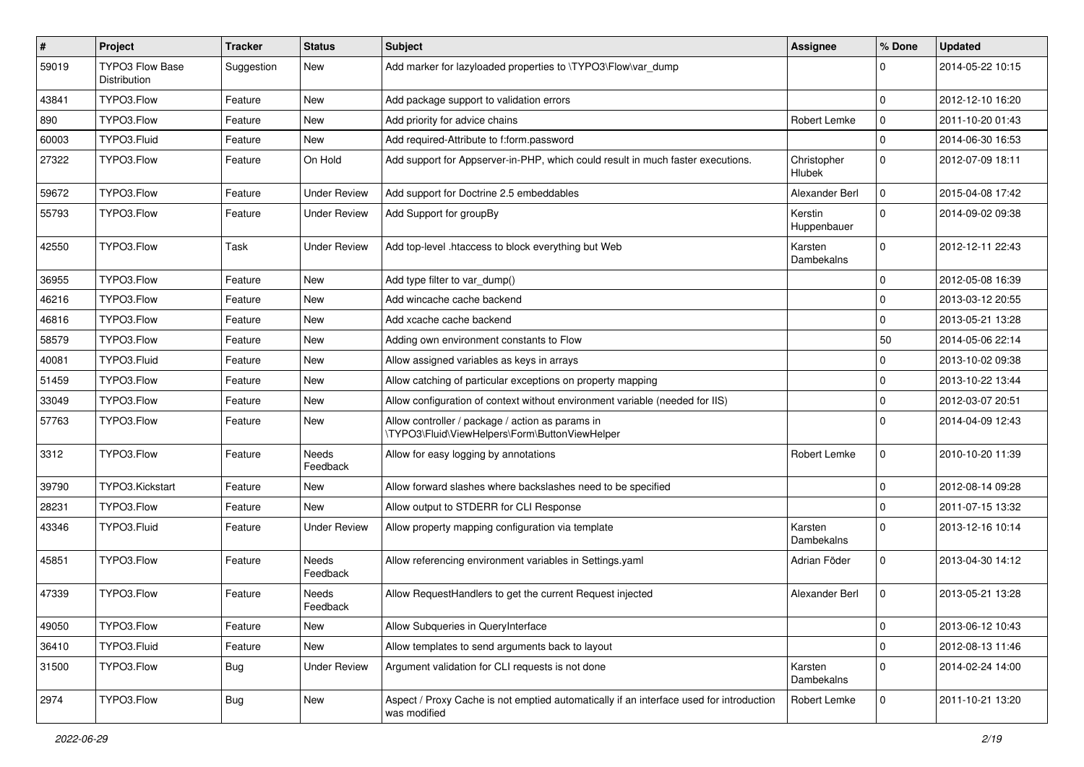| #     | Project                                | <b>Tracker</b> | <b>Status</b>            | <b>Subject</b>                                                                                          | <b>Assignee</b>              | % Done       | <b>Updated</b>   |
|-------|----------------------------------------|----------------|--------------------------|---------------------------------------------------------------------------------------------------------|------------------------------|--------------|------------------|
| 59019 | <b>TYPO3 Flow Base</b><br>Distribution | Suggestion     | New                      | Add marker for lazyloaded properties to \TYPO3\Flow\var dump                                            |                              | 0            | 2014-05-22 10:15 |
| 43841 | TYPO3.Flow                             | Feature        | New                      | Add package support to validation errors                                                                |                              | $\mathbf 0$  | 2012-12-10 16:20 |
| 890   | TYPO3.Flow                             | Feature        | New                      | Add priority for advice chains                                                                          | Robert Lemke                 | $\mathbf 0$  | 2011-10-20 01:43 |
| 60003 | TYPO3.Fluid                            | Feature        | New                      | Add required-Attribute to f:form.password                                                               |                              | $\mathbf{0}$ | 2014-06-30 16:53 |
| 27322 | TYPO3.Flow                             | Feature        | On Hold                  | Add support for Appserver-in-PHP, which could result in much faster executions.                         | Christopher<br><b>Hlubek</b> | $\mathbf 0$  | 2012-07-09 18:11 |
| 59672 | TYPO3.Flow                             | Feature        | <b>Under Review</b>      | Add support for Doctrine 2.5 embeddables                                                                | Alexander Berl               | $\mathbf 0$  | 2015-04-08 17:42 |
| 55793 | TYPO3.Flow                             | Feature        | <b>Under Review</b>      | Add Support for groupBy                                                                                 | Kerstin<br>Huppenbauer       | $\mathbf{0}$ | 2014-09-02 09:38 |
| 42550 | TYPO3.Flow                             | Task           | <b>Under Review</b>      | Add top-level .htaccess to block everything but Web                                                     | Karsten<br>Dambekalns        | $\mathbf{0}$ | 2012-12-11 22:43 |
| 36955 | TYPO3.Flow                             | Feature        | <b>New</b>               | Add type filter to var_dump()                                                                           |                              | $\mathbf 0$  | 2012-05-08 16:39 |
| 46216 | TYPO3.Flow                             | Feature        | New                      | Add wincache cache backend                                                                              |                              | $\mathbf 0$  | 2013-03-12 20:55 |
| 46816 | TYPO3.Flow                             | Feature        | New                      | Add xcache cache backend                                                                                |                              | $\mathbf 0$  | 2013-05-21 13:28 |
| 58579 | TYPO3.Flow                             | Feature        | New                      | Adding own environment constants to Flow                                                                |                              | 50           | 2014-05-06 22:14 |
| 40081 | TYPO3.Fluid                            | Feature        | New                      | Allow assigned variables as keys in arrays                                                              |                              | $\Omega$     | 2013-10-02 09:38 |
| 51459 | TYPO3.Flow                             | Feature        | New                      | Allow catching of particular exceptions on property mapping                                             |                              | $\mathbf 0$  | 2013-10-22 13:44 |
| 33049 | TYPO3.Flow                             | Feature        | New                      | Allow configuration of context without environment variable (needed for IIS)                            |                              | $\mathbf 0$  | 2012-03-07 20:51 |
| 57763 | TYPO3.Flow                             | Feature        | New                      | Allow controller / package / action as params in<br>\TYPO3\Fluid\ViewHelpers\Form\ButtonViewHelper      |                              | $\Omega$     | 2014-04-09 12:43 |
| 3312  | TYPO3.Flow                             | Feature        | Needs<br>Feedback        | Allow for easy logging by annotations                                                                   | Robert Lemke                 | $\mathbf 0$  | 2010-10-20 11:39 |
| 39790 | TYPO3.Kickstart                        | Feature        | New                      | Allow forward slashes where backslashes need to be specified                                            |                              | $\mathbf 0$  | 2012-08-14 09:28 |
| 28231 | TYPO3.Flow                             | Feature        | New                      | Allow output to STDERR for CLI Response                                                                 |                              | $\Omega$     | 2011-07-15 13:32 |
| 43346 | TYPO3.Fluid                            | Feature        | <b>Under Review</b>      | Allow property mapping configuration via template                                                       | Karsten<br>Dambekalns        | $\mathbf{0}$ | 2013-12-16 10:14 |
| 45851 | TYPO3.Flow                             | Feature        | <b>Needs</b><br>Feedback | Allow referencing environment variables in Settings.yaml                                                | Adrian Föder                 | $\mathbf 0$  | 2013-04-30 14:12 |
| 47339 | TYPO3.Flow                             | Feature        | Needs<br>Feedback        | Allow RequestHandlers to get the current Request injected                                               | Alexander Berl               | $\mathbf 0$  | 2013-05-21 13:28 |
| 49050 | TYPO3.Flow                             | Feature        | New                      | Allow Subqueries in QueryInterface                                                                      |                              | 0            | 2013-06-12 10:43 |
| 36410 | TYPO3.Fluid                            | Feature        | New                      | Allow templates to send arguments back to layout                                                        |                              | 0            | 2012-08-13 11:46 |
| 31500 | TYPO3.Flow                             | <b>Bug</b>     | <b>Under Review</b>      | Argument validation for CLI requests is not done                                                        | Karsten<br>Dambekalns        | $\mathbf 0$  | 2014-02-24 14:00 |
| 2974  | TYPO3.Flow                             | <b>Bug</b>     | New                      | Aspect / Proxy Cache is not emptied automatically if an interface used for introduction<br>was modified | Robert Lemke                 | $\mathbf 0$  | 2011-10-21 13:20 |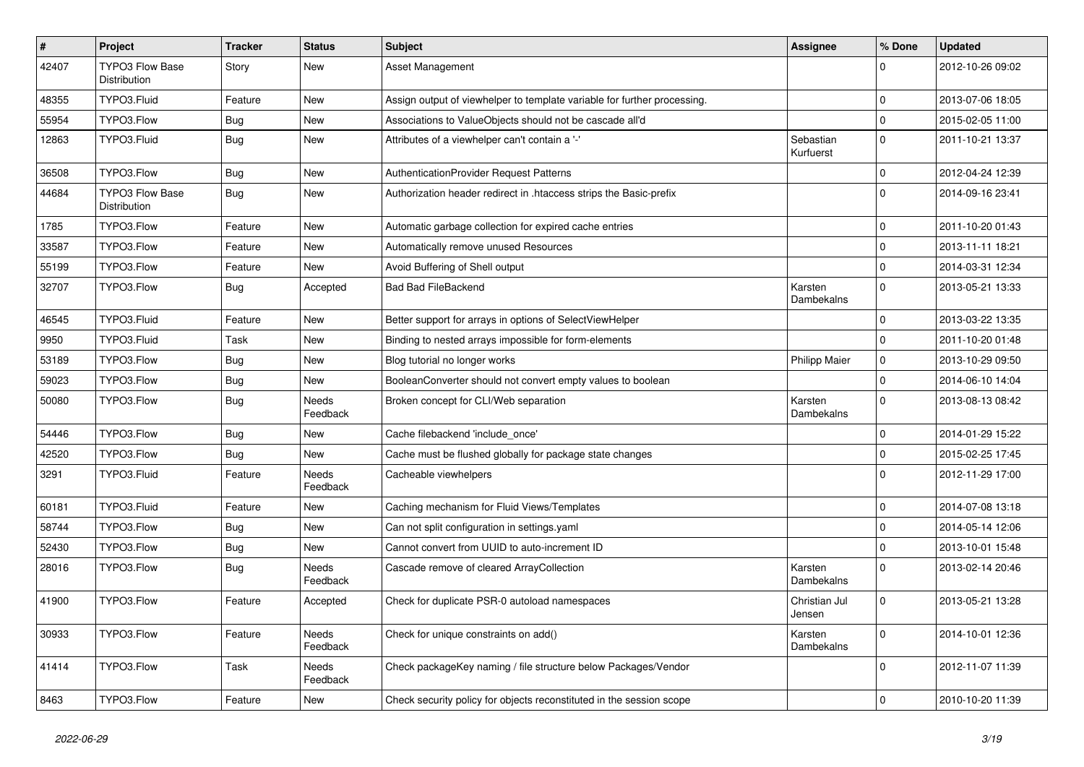| $\sharp$ | Project                                | <b>Tracker</b> | <b>Status</b>            | Subject                                                                  | Assignee                | % Done       | <b>Updated</b>   |
|----------|----------------------------------------|----------------|--------------------------|--------------------------------------------------------------------------|-------------------------|--------------|------------------|
| 42407    | TYPO3 Flow Base<br>Distribution        | Story          | New                      | Asset Management                                                         |                         | $\Omega$     | 2012-10-26 09:02 |
| 48355    | TYPO3.Fluid                            | Feature        | <b>New</b>               | Assign output of viewhelper to template variable for further processing. |                         | $\mathbf 0$  | 2013-07-06 18:05 |
| 55954    | TYPO3.Flow                             | <b>Bug</b>     | New                      | Associations to ValueObjects should not be cascade all'd                 |                         | $\mathbf 0$  | 2015-02-05 11:00 |
| 12863    | TYPO3.Fluid                            | <b>Bug</b>     | New                      | Attributes of a viewhelper can't contain a '-'                           | Sebastian<br>Kurfuerst  | $\mathbf{0}$ | 2011-10-21 13:37 |
| 36508    | TYPO3.Flow                             | <b>Bug</b>     | New                      | AuthenticationProvider Request Patterns                                  |                         | $\mathbf{0}$ | 2012-04-24 12:39 |
| 44684    | <b>TYPO3 Flow Base</b><br>Distribution | <b>Bug</b>     | New                      | Authorization header redirect in .htaccess strips the Basic-prefix       |                         | $\Omega$     | 2014-09-16 23:41 |
| 1785     | TYPO3.Flow                             | Feature        | New                      | Automatic garbage collection for expired cache entries                   |                         | $\mathbf 0$  | 2011-10-20 01:43 |
| 33587    | TYPO3.Flow                             | Feature        | New                      | Automatically remove unused Resources                                    |                         | $\mathbf 0$  | 2013-11-11 18:21 |
| 55199    | TYPO3.Flow                             | Feature        | New                      | Avoid Buffering of Shell output                                          |                         | $\mathbf{0}$ | 2014-03-31 12:34 |
| 32707    | TYPO3.Flow                             | <b>Bug</b>     | Accepted                 | <b>Bad Bad FileBackend</b>                                               | Karsten<br>Dambekalns   | $\mathbf{0}$ | 2013-05-21 13:33 |
| 46545    | TYPO3.Fluid                            | Feature        | <b>New</b>               | Better support for arrays in options of SelectViewHelper                 |                         | $\Omega$     | 2013-03-22 13:35 |
| 9950     | TYPO3.Fluid                            | Task           | New                      | Binding to nested arrays impossible for form-elements                    |                         | $\mathbf{0}$ | 2011-10-20 01:48 |
| 53189    | TYPO3.Flow                             | <b>Bug</b>     | New                      | Blog tutorial no longer works                                            | <b>Philipp Maier</b>    | $\mathbf 0$  | 2013-10-29 09:50 |
| 59023    | TYPO3.Flow                             | <b>Bug</b>     | New                      | BooleanConverter should not convert empty values to boolean              |                         | $\mathbf 0$  | 2014-06-10 14:04 |
| 50080    | TYPO3.Flow                             | Bug            | Needs<br>Feedback        | Broken concept for CLI/Web separation                                    | Karsten<br>Dambekalns   | $\Omega$     | 2013-08-13 08:42 |
| 54446    | TYPO3.Flow                             | <b>Bug</b>     | New                      | Cache filebackend 'include_once'                                         |                         | $\mathbf 0$  | 2014-01-29 15:22 |
| 42520    | TYPO3.Flow                             | Bug            | New                      | Cache must be flushed globally for package state changes                 |                         | $\mathbf 0$  | 2015-02-25 17:45 |
| 3291     | TYPO3.Fluid                            | Feature        | <b>Needs</b><br>Feedback | Cacheable viewhelpers                                                    |                         | $\Omega$     | 2012-11-29 17:00 |
| 60181    | TYPO3.Fluid                            | Feature        | <b>New</b>               | Caching mechanism for Fluid Views/Templates                              |                         | $\Omega$     | 2014-07-08 13:18 |
| 58744    | TYPO3.Flow                             | <b>Bug</b>     | New                      | Can not split configuration in settings.yaml                             |                         | $\mathbf{0}$ | 2014-05-14 12:06 |
| 52430    | TYPO3.Flow                             | Bug            | New                      | Cannot convert from UUID to auto-increment ID                            |                         | $\mathbf 0$  | 2013-10-01 15:48 |
| 28016    | TYPO3.Flow                             | Bug            | Needs<br>Feedback        | Cascade remove of cleared ArrayCollection                                | Karsten<br>Dambekalns   | $\Omega$     | 2013-02-14 20:46 |
| 41900    | TYPO3.Flow                             | Feature        | Accepted                 | Check for duplicate PSR-0 autoload namespaces                            | Christian Jul<br>Jensen | $\Omega$     | 2013-05-21 13:28 |
| 30933    | TYPO3.Flow                             | Feature        | Needs<br>Feedback        | Check for unique constraints on add()                                    | Karsten<br>Dambekalns   | $\mathbf 0$  | 2014-10-01 12:36 |
| 41414    | TYPO3.Flow                             | Task           | Needs<br>Feedback        | Check packageKey naming / file structure below Packages/Vendor           |                         | $\mathbf 0$  | 2012-11-07 11:39 |
| 8463     | TYPO3.Flow                             | Feature        | New                      | Check security policy for objects reconstituted in the session scope     |                         | $\mathbf 0$  | 2010-10-20 11:39 |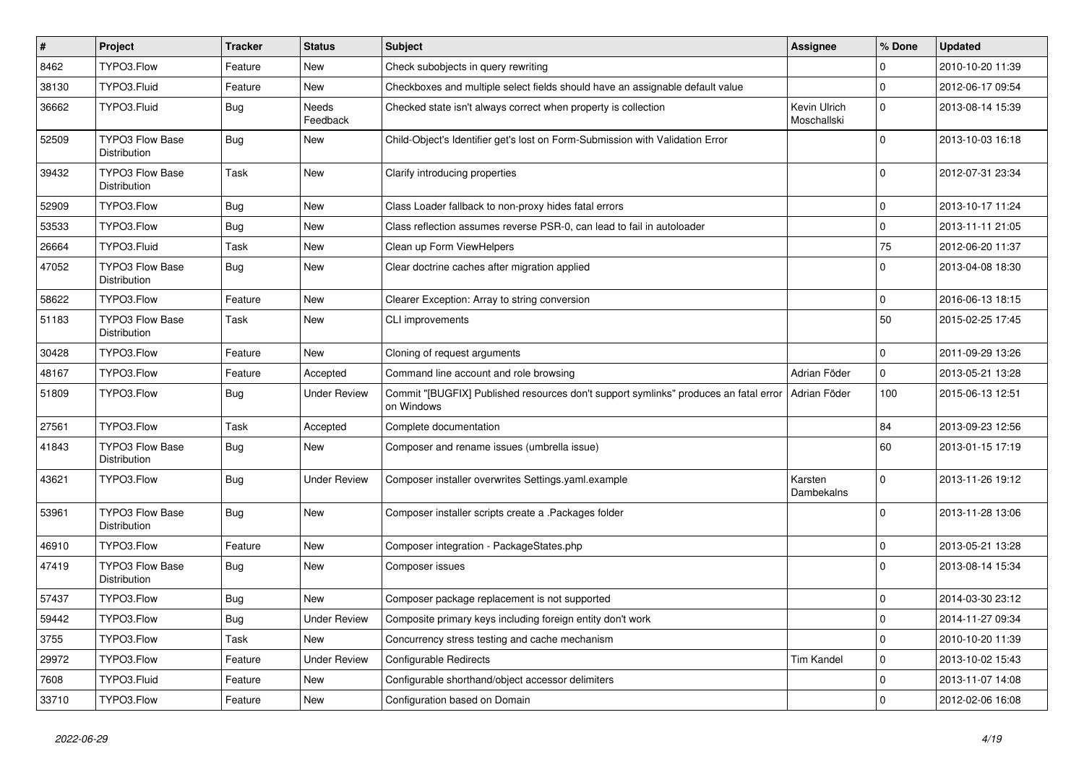| $\pmb{\#}$ | Project                                       | <b>Tracker</b> | <b>Status</b>       | <b>Subject</b>                                                                                                    | Assignee                    | % Done              | <b>Updated</b>   |
|------------|-----------------------------------------------|----------------|---------------------|-------------------------------------------------------------------------------------------------------------------|-----------------------------|---------------------|------------------|
| 8462       | TYPO3.Flow                                    | Feature        | New                 | Check subobjects in query rewriting                                                                               |                             | $\Omega$            | 2010-10-20 11:39 |
| 38130      | TYPO3.Fluid                                   | Feature        | New                 | Checkboxes and multiple select fields should have an assignable default value                                     |                             | $\mathbf 0$         | 2012-06-17 09:54 |
| 36662      | TYPO3.Fluid                                   | Bug            | Needs<br>Feedback   | Checked state isn't always correct when property is collection                                                    | Kevin Ulrich<br>Moschallski | $\Omega$            | 2013-08-14 15:39 |
| 52509      | <b>TYPO3 Flow Base</b><br><b>Distribution</b> | Bug            | New                 | Child-Object's Identifier get's lost on Form-Submission with Validation Error                                     |                             | $\Omega$            | 2013-10-03 16:18 |
| 39432      | <b>TYPO3 Flow Base</b><br>Distribution        | Task           | New                 | Clarify introducing properties                                                                                    |                             | $\mathbf 0$         | 2012-07-31 23:34 |
| 52909      | TYPO3.Flow                                    | Bug            | New                 | Class Loader fallback to non-proxy hides fatal errors                                                             |                             | $\mathsf{O}\xspace$ | 2013-10-17 11:24 |
| 53533      | TYPO3.Flow                                    | <b>Bug</b>     | New                 | Class reflection assumes reverse PSR-0, can lead to fail in autoloader                                            |                             | $\mathsf{O}\xspace$ | 2013-11-11 21:05 |
| 26664      | TYPO3.Fluid                                   | Task           | New                 | Clean up Form ViewHelpers                                                                                         |                             | 75                  | 2012-06-20 11:37 |
| 47052      | <b>TYPO3 Flow Base</b><br><b>Distribution</b> | <b>Bug</b>     | New                 | Clear doctrine caches after migration applied                                                                     |                             | $\Omega$            | 2013-04-08 18:30 |
| 58622      | TYPO3.Flow                                    | Feature        | New                 | Clearer Exception: Array to string conversion                                                                     |                             | $\mathbf 0$         | 2016-06-13 18:15 |
| 51183      | <b>TYPO3 Flow Base</b><br>Distribution        | Task           | New                 | <b>CLI improvements</b>                                                                                           |                             | 50                  | 2015-02-25 17:45 |
| 30428      | TYPO3.Flow                                    | Feature        | New                 | Cloning of request arguments                                                                                      |                             | $\mathbf 0$         | 2011-09-29 13:26 |
| 48167      | TYPO3.Flow                                    | Feature        | Accepted            | Command line account and role browsing                                                                            | Adrian Föder                | $\mathbf{0}$        | 2013-05-21 13:28 |
| 51809      | TYPO3.Flow                                    | Bug            | Under Review        | Commit "[BUGFIX] Published resources don't support symlinks" produces an fatal error   Adrian Föder<br>on Windows |                             | 100                 | 2015-06-13 12:51 |
| 27561      | TYPO3.Flow                                    | Task           | Accepted            | Complete documentation                                                                                            |                             | 84                  | 2013-09-23 12:56 |
| 41843      | <b>TYPO3 Flow Base</b><br>Distribution        | <b>Bug</b>     | New                 | Composer and rename issues (umbrella issue)                                                                       |                             | 60                  | 2013-01-15 17:19 |
| 43621      | TYPO3.Flow                                    | <b>Bug</b>     | Under Review        | Composer installer overwrites Settings.yaml.example                                                               | Karsten<br>Dambekalns       | $\Omega$            | 2013-11-26 19:12 |
| 53961      | <b>TYPO3 Flow Base</b><br>Distribution        | <b>Bug</b>     | New                 | Composer installer scripts create a .Packages folder                                                              |                             | $\Omega$            | 2013-11-28 13:06 |
| 46910      | TYPO3.Flow                                    | Feature        | New                 | Composer integration - PackageStates.php                                                                          |                             | $\mathbf 0$         | 2013-05-21 13:28 |
| 47419      | <b>TYPO3 Flow Base</b><br><b>Distribution</b> | Bug            | New                 | Composer issues                                                                                                   |                             | $\Omega$            | 2013-08-14 15:34 |
| 57437      | TYPO3.Flow                                    | Bug            | <b>New</b>          | Composer package replacement is not supported                                                                     |                             | $\mathbf 0$         | 2014-03-30 23:12 |
| 59442      | TYPO3.Flow                                    | <b>Bug</b>     | <b>Under Review</b> | Composite primary keys including foreign entity don't work                                                        |                             | $\mathbf 0$         | 2014-11-27 09:34 |
| 3755       | TYPO3.Flow                                    | Task           | New                 | Concurrency stress testing and cache mechanism                                                                    |                             | $\mathbf 0$         | 2010-10-20 11:39 |
| 29972      | TYPO3.Flow                                    | Feature        | <b>Under Review</b> | <b>Configurable Redirects</b>                                                                                     | <b>Tim Kandel</b>           | $\mathbf 0$         | 2013-10-02 15:43 |
| 7608       | TYPO3.Fluid                                   | Feature        | New                 | Configurable shorthand/object accessor delimiters                                                                 |                             | $\mathbf 0$         | 2013-11-07 14:08 |
| 33710      | TYPO3.Flow                                    | Feature        | New                 | Configuration based on Domain                                                                                     |                             | $\mathbf 0$         | 2012-02-06 16:08 |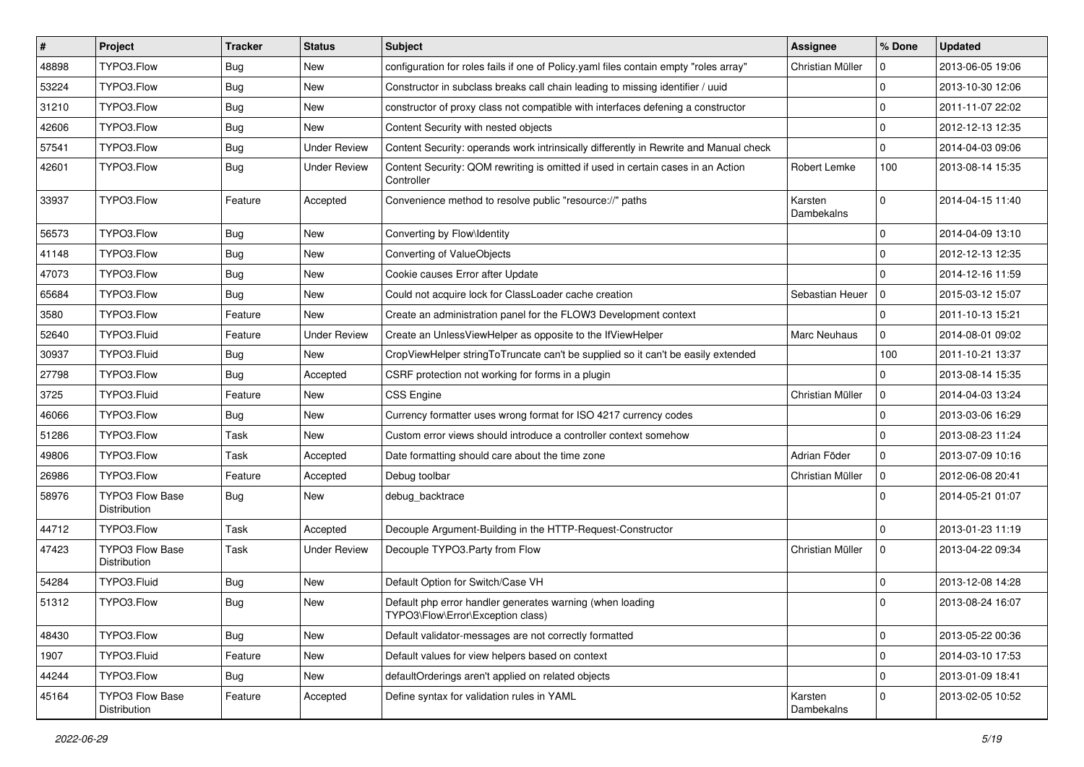| $\vert$ # | Project                                | <b>Tracker</b> | <b>Status</b>       | Subject                                                                                        | <b>Assignee</b>       | % Done              | <b>Updated</b>   |
|-----------|----------------------------------------|----------------|---------------------|------------------------------------------------------------------------------------------------|-----------------------|---------------------|------------------|
| 48898     | TYPO3.Flow                             | <b>Bug</b>     | New                 | configuration for roles fails if one of Policy yaml files contain empty "roles array"          | Christian Müller      | 0                   | 2013-06-05 19:06 |
| 53224     | TYPO3.Flow                             | <b>Bug</b>     | New                 | Constructor in subclass breaks call chain leading to missing identifier / uuid                 |                       | $\mathbf 0$         | 2013-10-30 12:06 |
| 31210     | TYPO3.Flow                             | Bug            | New                 | constructor of proxy class not compatible with interfaces defening a constructor               |                       | $\mathbf 0$         | 2011-11-07 22:02 |
| 42606     | TYPO3.Flow                             | <b>Bug</b>     | New                 | Content Security with nested objects                                                           |                       | $\mathbf 0$         | 2012-12-13 12:35 |
| 57541     | TYPO3.Flow                             | <b>Bug</b>     | <b>Under Review</b> | Content Security: operands work intrinsically differently in Rewrite and Manual check          |                       | $\mathbf 0$         | 2014-04-03 09:06 |
| 42601     | TYPO3.Flow                             | <b>Bug</b>     | <b>Under Review</b> | Content Security: QOM rewriting is omitted if used in certain cases in an Action<br>Controller | Robert Lemke          | 100                 | 2013-08-14 15:35 |
| 33937     | TYPO3.Flow                             | Feature        | Accepted            | Convenience method to resolve public "resource://" paths                                       | Karsten<br>Dambekalns | $\mathbf 0$         | 2014-04-15 11:40 |
| 56573     | TYPO3.Flow                             | <b>Bug</b>     | New                 | Converting by Flow\Identity                                                                    |                       | $\mathbf 0$         | 2014-04-09 13:10 |
| 41148     | TYPO3.Flow                             | Bug            | New                 | Converting of ValueObjects                                                                     |                       | $\mathbf 0$         | 2012-12-13 12:35 |
| 47073     | TYPO3.Flow                             | <b>Bug</b>     | New                 | Cookie causes Error after Update                                                               |                       | $\Omega$            | 2014-12-16 11:59 |
| 65684     | TYPO3.Flow                             | Bug            | New                 | Could not acquire lock for ClassLoader cache creation                                          | Sebastian Heuer       | $\mathbf 0$         | 2015-03-12 15:07 |
| 3580      | TYPO3.Flow                             | Feature        | New                 | Create an administration panel for the FLOW3 Development context                               |                       | $\mathbf 0$         | 2011-10-13 15:21 |
| 52640     | TYPO3.Fluid                            | Feature        | <b>Under Review</b> | Create an UnlessViewHelper as opposite to the IfViewHelper                                     | <b>Marc Neuhaus</b>   | $\mathbf 0$         | 2014-08-01 09:02 |
| 30937     | TYPO3.Fluid                            | <b>Bug</b>     | New                 | CropViewHelper stringToTruncate can't be supplied so it can't be easily extended               |                       | 100                 | 2011-10-21 13:37 |
| 27798     | TYPO3.Flow                             | Bug            | Accepted            | CSRF protection not working for forms in a plugin                                              |                       | $\Omega$            | 2013-08-14 15:35 |
| 3725      | TYPO3.Fluid                            | Feature        | New                 | <b>CSS Engine</b>                                                                              | Christian Müller      | 0                   | 2014-04-03 13:24 |
| 46066     | TYPO3.Flow                             | <b>Bug</b>     | New                 | Currency formatter uses wrong format for ISO 4217 currency codes                               |                       | $\mathbf 0$         | 2013-03-06 16:29 |
| 51286     | TYPO3.Flow                             | Task           | New                 | Custom error views should introduce a controller context somehow                               |                       | $\mathbf 0$         | 2013-08-23 11:24 |
| 49806     | TYPO3.Flow                             | Task           | Accepted            | Date formatting should care about the time zone                                                | Adrian Föder          | $\mathbf 0$         | 2013-07-09 10:16 |
| 26986     | TYPO3.Flow                             | Feature        | Accepted            | Debug toolbar                                                                                  | Christian Müller      | $\mathbf 0$         | 2012-06-08 20:41 |
| 58976     | <b>TYPO3 Flow Base</b><br>Distribution | <b>Bug</b>     | New                 | debug_backtrace                                                                                |                       | $\Omega$            | 2014-05-21 01:07 |
| 44712     | TYPO3.Flow                             | Task           | Accepted            | Decouple Argument-Building in the HTTP-Request-Constructor                                     |                       | $\mathbf 0$         | 2013-01-23 11:19 |
| 47423     | TYPO3 Flow Base<br>Distribution        | Task           | <b>Under Review</b> | Decouple TYPO3.Party from Flow                                                                 | Christian Müller      | $\mathbf 0$         | 2013-04-22 09:34 |
| 54284     | TYPO3.Fluid                            | <b>Bug</b>     | New                 | Default Option for Switch/Case VH                                                              |                       | $\mathbf 0$         | 2013-12-08 14:28 |
| 51312     | TYPO3.Flow                             | <b>Bug</b>     | New                 | Default php error handler generates warning (when loading<br>TYPO3\Flow\Error\Exception class) |                       | $\Omega$            | 2013-08-24 16:07 |
| 48430     | TYPO3.Flow                             | <b>Bug</b>     | New                 | Default validator-messages are not correctly formatted                                         |                       | $\mathsf{O}\xspace$ | 2013-05-22 00:36 |
| 1907      | TYPO3.Fluid                            | Feature        | New                 | Default values for view helpers based on context                                               |                       | $\mathbf 0$         | 2014-03-10 17:53 |
| 44244     | TYPO3.Flow                             | <b>Bug</b>     | New                 | defaultOrderings aren't applied on related objects                                             |                       | $\mathsf{O}\xspace$ | 2013-01-09 18:41 |
| 45164     | TYPO3 Flow Base<br>Distribution        | Feature        | Accepted            | Define syntax for validation rules in YAML                                                     | Karsten<br>Dambekalns | 0                   | 2013-02-05 10:52 |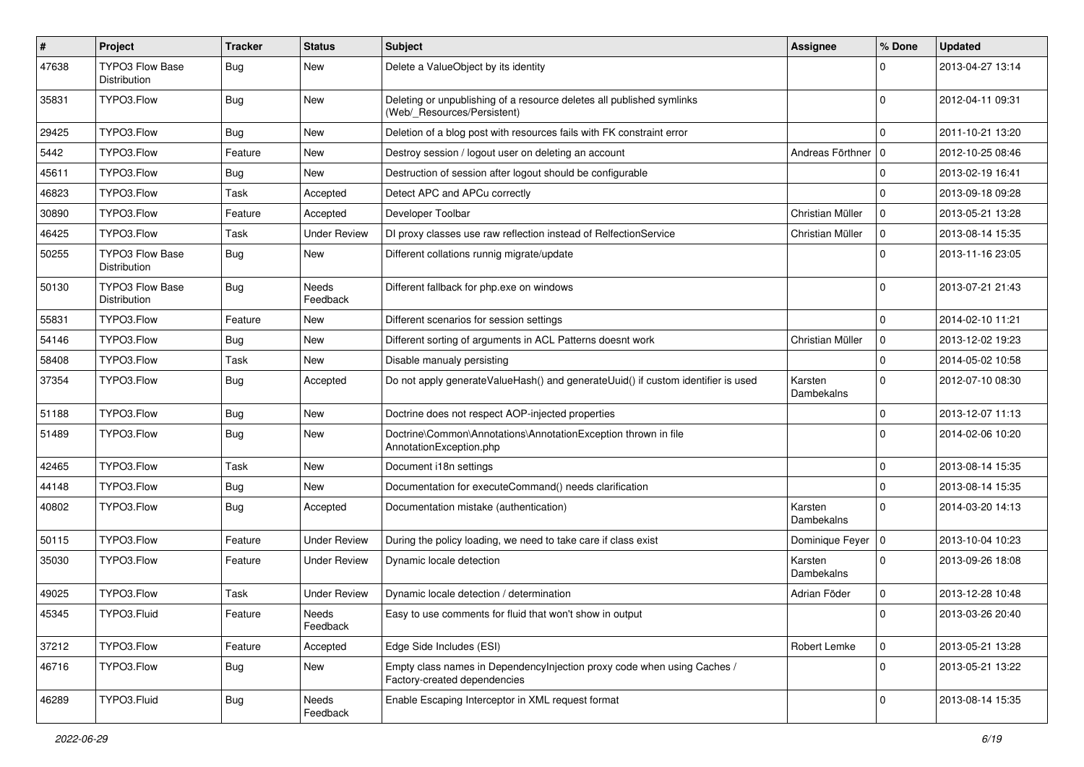| $\#$  | Project                                | <b>Tracker</b> | <b>Status</b>            | <b>Subject</b>                                                                                          | <b>Assignee</b>       | % Done              | <b>Updated</b>   |
|-------|----------------------------------------|----------------|--------------------------|---------------------------------------------------------------------------------------------------------|-----------------------|---------------------|------------------|
| 47638 | <b>TYPO3 Flow Base</b><br>Distribution | <b>Bug</b>     | New                      | Delete a ValueObject by its identity                                                                    |                       | 0                   | 2013-04-27 13:14 |
| 35831 | TYPO3.Flow                             | <b>Bug</b>     | New                      | Deleting or unpublishing of a resource deletes all published symlinks<br>(Web/_Resources/Persistent)    |                       | $\Omega$            | 2012-04-11 09:31 |
| 29425 | TYPO3.Flow                             | Bug            | New                      | Deletion of a blog post with resources fails with FK constraint error                                   |                       | $\mathbf 0$         | 2011-10-21 13:20 |
| 5442  | TYPO3.Flow                             | Feature        | New                      | Destroy session / logout user on deleting an account                                                    | Andreas Förthner   0  |                     | 2012-10-25 08:46 |
| 45611 | TYPO3.Flow                             | <b>Bug</b>     | New                      | Destruction of session after logout should be configurable                                              |                       | $\mathbf 0$         | 2013-02-19 16:41 |
| 46823 | TYPO3.Flow                             | Task           | Accepted                 | Detect APC and APCu correctly                                                                           |                       | $\mathbf 0$         | 2013-09-18 09:28 |
| 30890 | TYPO3.Flow                             | Feature        | Accepted                 | Developer Toolbar                                                                                       | Christian Müller      | $\mathbf 0$         | 2013-05-21 13:28 |
| 46425 | TYPO3.Flow                             | Task           | <b>Under Review</b>      | DI proxy classes use raw reflection instead of RelfectionService                                        | Christian Müller      | $\mathbf 0$         | 2013-08-14 15:35 |
| 50255 | <b>TYPO3 Flow Base</b><br>Distribution | <b>Bug</b>     | New                      | Different collations runnig migrate/update                                                              |                       | $\Omega$            | 2013-11-16 23:05 |
| 50130 | <b>TYPO3 Flow Base</b><br>Distribution | <b>Bug</b>     | <b>Needs</b><br>Feedback | Different fallback for php.exe on windows                                                               |                       | $\Omega$            | 2013-07-21 21:43 |
| 55831 | TYPO3.Flow                             | Feature        | New                      | Different scenarios for session settings                                                                |                       | $\mathbf 0$         | 2014-02-10 11:21 |
| 54146 | TYPO3.Flow                             | <b>Bug</b>     | New                      | Different sorting of arguments in ACL Patterns doesnt work                                              | Christian Müller      | 0                   | 2013-12-02 19:23 |
| 58408 | TYPO3.Flow                             | Task           | New                      | Disable manualy persisting                                                                              |                       | $\mathbf 0$         | 2014-05-02 10:58 |
| 37354 | TYPO3.Flow                             | <b>Bug</b>     | Accepted                 | Do not apply generateValueHash() and generateUuid() if custom identifier is used                        | Karsten<br>Dambekalns | $\mathbf 0$         | 2012-07-10 08:30 |
| 51188 | TYPO3.Flow                             | Bug            | New                      | Doctrine does not respect AOP-injected properties                                                       |                       | $\mathbf 0$         | 2013-12-07 11:13 |
| 51489 | TYPO3.Flow                             | <b>Bug</b>     | New                      | Doctrine\Common\Annotations\AnnotationException thrown in file<br>AnnotationException.php               |                       | $\Omega$            | 2014-02-06 10:20 |
| 42465 | TYPO3.Flow                             | Task           | New                      | Document i18n settings                                                                                  |                       | $\mathbf 0$         | 2013-08-14 15:35 |
| 44148 | TYPO3.Flow                             | <b>Bug</b>     | New                      | Documentation for executeCommand() needs clarification                                                  |                       | $\mathbf 0$         | 2013-08-14 15:35 |
| 40802 | TYPO3.Flow                             | <b>Bug</b>     | Accepted                 | Documentation mistake (authentication)                                                                  | Karsten<br>Dambekalns | $\mathbf 0$         | 2014-03-20 14:13 |
| 50115 | TYPO3.Flow                             | Feature        | Under Review             | During the policy loading, we need to take care if class exist                                          | Dominique Feyer   0   |                     | 2013-10-04 10:23 |
| 35030 | TYPO3.Flow                             | Feature        | Under Review             | Dynamic locale detection                                                                                | Karsten<br>Dambekalns | $\mathbf 0$         | 2013-09-26 18:08 |
| 49025 | TYPO3.Flow                             | Task           | Under Review             | Dynamic locale detection / determination                                                                | Adrian Föder          | $\mathbf 0$         | 2013-12-28 10:48 |
| 45345 | TYPO3.Fluid                            | Feature        | Needs<br>Feedback        | Easy to use comments for fluid that won't show in output                                                |                       |                     | 2013-03-26 20:40 |
| 37212 | TYPO3.Flow                             | Feature        | Accepted                 | Edge Side Includes (ESI)                                                                                | Robert Lemke          | $\overline{0}$      | 2013-05-21 13:28 |
| 46716 | TYPO3.Flow                             | Bug            | New                      | Empty class names in Dependencylnjection proxy code when using Caches /<br>Factory-created dependencies |                       | $\overline{0}$      | 2013-05-21 13:22 |
| 46289 | TYPO3.Fluid                            | <b>Bug</b>     | Needs<br>Feedback        | Enable Escaping Interceptor in XML request format                                                       |                       | $\mathsf{O}\xspace$ | 2013-08-14 15:35 |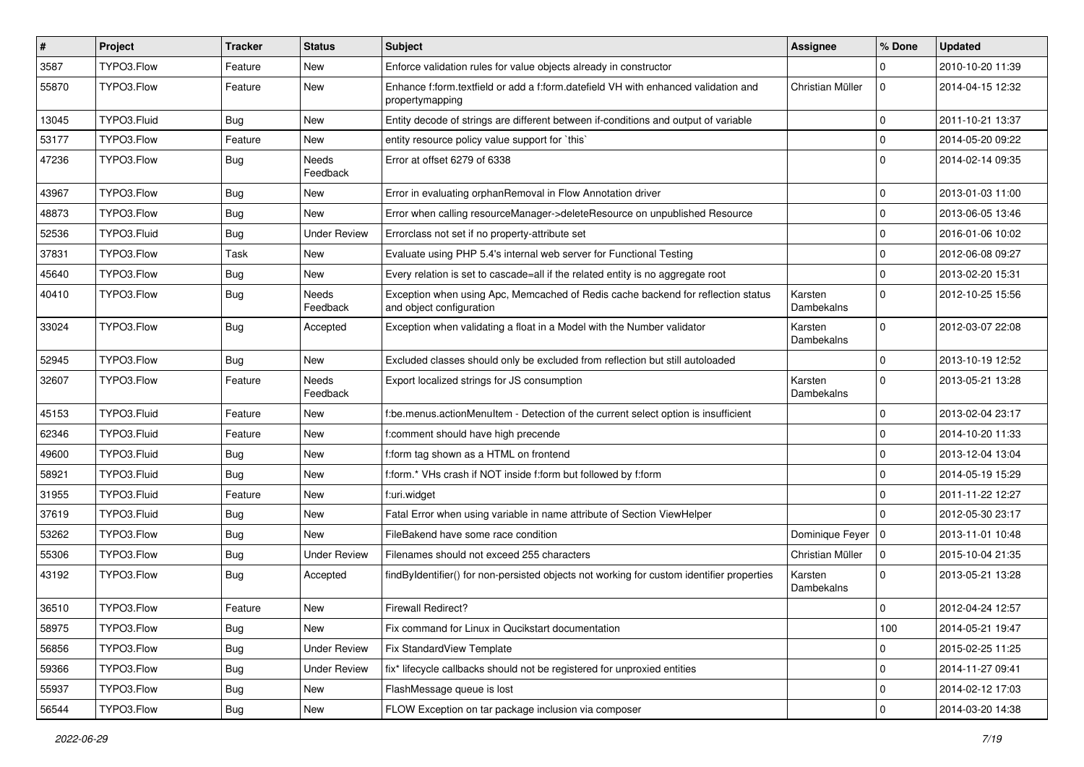| $\vert$ # | Project     | <b>Tracker</b> | <b>Status</b>       | Subject                                                                                                      | <b>Assignee</b>       | % Done              | <b>Updated</b>   |
|-----------|-------------|----------------|---------------------|--------------------------------------------------------------------------------------------------------------|-----------------------|---------------------|------------------|
| 3587      | TYPO3.Flow  | Feature        | New                 | Enforce validation rules for value objects already in constructor                                            |                       | $\Omega$            | 2010-10-20 11:39 |
| 55870     | TYPO3.Flow  | Feature        | New                 | Enhance f:form.textfield or add a f:form.datefield VH with enhanced validation and<br>propertymapping        | Christian Müller      | $\mathbf 0$         | 2014-04-15 12:32 |
| 13045     | TYPO3.Fluid | <b>Bug</b>     | New                 | Entity decode of strings are different between if-conditions and output of variable                          |                       | $\mathbf 0$         | 2011-10-21 13:37 |
| 53177     | TYPO3.Flow  | Feature        | New                 | entity resource policy value support for `this`                                                              |                       | $\mathbf 0$         | 2014-05-20 09:22 |
| 47236     | TYPO3.Flow  | Bug            | Needs<br>Feedback   | Error at offset 6279 of 6338                                                                                 |                       | $\mathbf 0$         | 2014-02-14 09:35 |
| 43967     | TYPO3.Flow  | Bug            | New                 | Error in evaluating orphanRemoval in Flow Annotation driver                                                  |                       | $\mathbf 0$         | 2013-01-03 11:00 |
| 48873     | TYPO3.Flow  | Bug            | New                 | Error when calling resourceManager->deleteResource on unpublished Resource                                   |                       | $\mathbf 0$         | 2013-06-05 13:46 |
| 52536     | TYPO3.Fluid | <b>Bug</b>     | <b>Under Review</b> | Errorclass not set if no property-attribute set                                                              |                       | $\mathbf 0$         | 2016-01-06 10:02 |
| 37831     | TYPO3.Flow  | Task           | New                 | Evaluate using PHP 5.4's internal web server for Functional Testing                                          |                       | $\mathbf 0$         | 2012-06-08 09:27 |
| 45640     | TYPO3.Flow  | <b>Bug</b>     | New                 | Every relation is set to cascade=all if the related entity is no aggregate root                              |                       | $\mathbf 0$         | 2013-02-20 15:31 |
| 40410     | TYPO3.Flow  | <b>Bug</b>     | Needs<br>Feedback   | Exception when using Apc, Memcached of Redis cache backend for reflection status<br>and object configuration | Karsten<br>Dambekalns | $\Omega$            | 2012-10-25 15:56 |
| 33024     | TYPO3.Flow  | <b>Bug</b>     | Accepted            | Exception when validating a float in a Model with the Number validator                                       | Karsten<br>Dambekalns | $\Omega$            | 2012-03-07 22:08 |
| 52945     | TYPO3.Flow  | <b>Bug</b>     | New                 | Excluded classes should only be excluded from reflection but still autoloaded                                |                       | $\Omega$            | 2013-10-19 12:52 |
| 32607     | TYPO3.Flow  | Feature        | Needs<br>Feedback   | Export localized strings for JS consumption                                                                  | Karsten<br>Dambekalns | $\mathbf 0$         | 2013-05-21 13:28 |
| 45153     | TYPO3.Fluid | Feature        | New                 | f:be.menus.actionMenuItem - Detection of the current select option is insufficient                           |                       | $\Omega$            | 2013-02-04 23:17 |
| 62346     | TYPO3.Fluid | Feature        | New                 | f:comment should have high precende                                                                          |                       | $\Omega$            | 2014-10-20 11:33 |
| 49600     | TYPO3.Fluid | <b>Bug</b>     | New                 | f:form tag shown as a HTML on frontend                                                                       |                       | $\mathbf 0$         | 2013-12-04 13:04 |
| 58921     | TYPO3.Fluid | <b>Bug</b>     | New                 | f:form.* VHs crash if NOT inside f:form but followed by f:form                                               |                       | $\mathbf 0$         | 2014-05-19 15:29 |
| 31955     | TYPO3.Fluid | Feature        | New                 | f:uri.widget                                                                                                 |                       | $\mathbf 0$         | 2011-11-22 12:27 |
| 37619     | TYPO3.Fluid | Bug            | New                 | Fatal Error when using variable in name attribute of Section ViewHelper                                      |                       | $\Omega$            | 2012-05-30 23:17 |
| 53262     | TYPO3.Flow  | Bug            | New                 | FileBakend have some race condition                                                                          | Dominique Feyer   0   |                     | 2013-11-01 10:48 |
| 55306     | TYPO3.Flow  | Bug            | <b>Under Review</b> | Filenames should not exceed 255 characters                                                                   | Christian Müller      | $\mathbf 0$         | 2015-10-04 21:35 |
| 43192     | TYPO3.Flow  | Bug            | Accepted            | findByIdentifier() for non-persisted objects not working for custom identifier properties                    | Karsten<br>Dambekalns | $\Omega$            | 2013-05-21 13:28 |
| 36510     | TYPO3.Flow  | Feature        | New                 | <b>Firewall Redirect?</b>                                                                                    |                       | $\mathbf 0$         | 2012-04-24 12:57 |
| 58975     | TYPO3.Flow  | Bug            | New                 | Fix command for Linux in Qucikstart documentation                                                            |                       | 100                 | 2014-05-21 19:47 |
| 56856     | TYPO3.Flow  | <b>Bug</b>     | <b>Under Review</b> | Fix StandardView Template                                                                                    |                       | 0                   | 2015-02-25 11:25 |
| 59366     | TYPO3.Flow  | <b>Bug</b>     | <b>Under Review</b> | fix* lifecycle callbacks should not be registered for unproxied entities                                     |                       | $\mathsf{O}\xspace$ | 2014-11-27 09:41 |
| 55937     | TYPO3.Flow  | Bug            | New                 | FlashMessage queue is lost                                                                                   |                       | 0                   | 2014-02-12 17:03 |
| 56544     | TYPO3.Flow  | <b>Bug</b>     | New                 | FLOW Exception on tar package inclusion via composer                                                         |                       | $\mathbf 0$         | 2014-03-20 14:38 |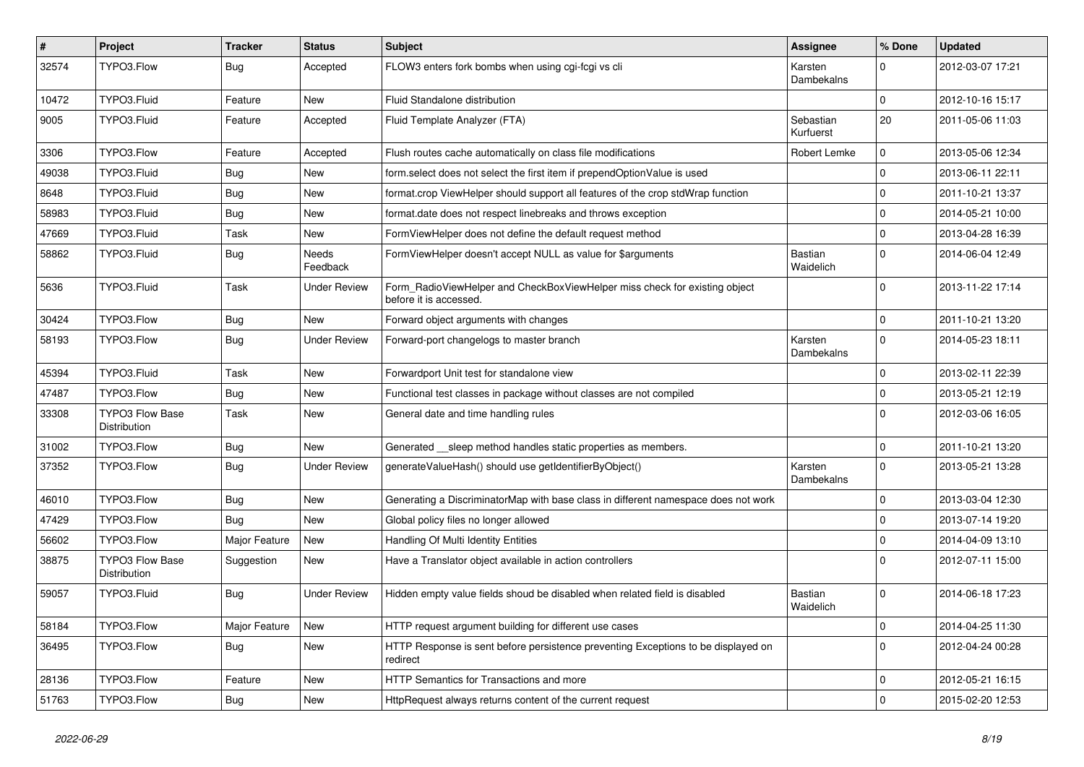| #     | Project                                | <b>Tracker</b> | <b>Status</b>       | <b>Subject</b>                                                                                       | <b>Assignee</b>             | % Done      | <b>Updated</b>   |
|-------|----------------------------------------|----------------|---------------------|------------------------------------------------------------------------------------------------------|-----------------------------|-------------|------------------|
| 32574 | TYPO3.Flow                             | <b>Bug</b>     | Accepted            | FLOW3 enters fork bombs when using cgi-fcgi vs cli                                                   | Karsten<br>Dambekalns       | $\Omega$    | 2012-03-07 17:21 |
| 10472 | TYPO3.Fluid                            | Feature        | <b>New</b>          | Fluid Standalone distribution                                                                        |                             | $\Omega$    | 2012-10-16 15:17 |
| 9005  | TYPO3.Fluid                            | Feature        | Accepted            | Fluid Template Analyzer (FTA)                                                                        | Sebastian<br>Kurfuerst      | 20          | 2011-05-06 11:03 |
| 3306  | TYPO3.Flow                             | Feature        | Accepted            | Flush routes cache automatically on class file modifications                                         | Robert Lemke                | 0           | 2013-05-06 12:34 |
| 49038 | TYPO3.Fluid                            | <b>Bug</b>     | New                 | form.select does not select the first item if prependOptionValue is used                             |                             | $\Omega$    | 2013-06-11 22:11 |
| 8648  | TYPO3.Fluid                            | <b>Bug</b>     | New                 | format.crop ViewHelper should support all features of the crop stdWrap function                      |                             | $\mathbf 0$ | 2011-10-21 13:37 |
| 58983 | TYPO3.Fluid                            | <b>Bug</b>     | New                 | format.date does not respect linebreaks and throws exception                                         |                             | $\Omega$    | 2014-05-21 10:00 |
| 47669 | TYPO3.Fluid                            | Task           | New                 | FormViewHelper does not define the default request method                                            |                             | $\mathbf 0$ | 2013-04-28 16:39 |
| 58862 | TYPO3.Fluid                            | <b>Bug</b>     | Needs<br>Feedback   | FormViewHelper doesn't accept NULL as value for \$arguments                                          | <b>Bastian</b><br>Waidelich | $\Omega$    | 2014-06-04 12:49 |
| 5636  | TYPO3.Fluid                            | Task           | <b>Under Review</b> | Form_RadioViewHelper and CheckBoxViewHelper miss check for existing object<br>before it is accessed. |                             | $\Omega$    | 2013-11-22 17:14 |
| 30424 | TYPO3.Flow                             | <b>Bug</b>     | <b>New</b>          | Forward object arguments with changes                                                                |                             | $\Omega$    | 2011-10-21 13:20 |
| 58193 | TYPO3.Flow                             | <b>Bug</b>     | <b>Under Review</b> | Forward-port changelogs to master branch                                                             | Karsten<br>Dambekalns       | 0           | 2014-05-23 18:11 |
| 45394 | TYPO3.Fluid                            | Task           | New                 | Forwardport Unit test for standalone view                                                            |                             | 0           | 2013-02-11 22:39 |
| 47487 | TYPO3.Flow                             | <b>Bug</b>     | New                 | Functional test classes in package without classes are not compiled                                  |                             | $\mathbf 0$ | 2013-05-21 12:19 |
| 33308 | <b>TYPO3 Flow Base</b><br>Distribution | Task           | New                 | General date and time handling rules                                                                 |                             | $\Omega$    | 2012-03-06 16:05 |
| 31002 | TYPO3.Flow                             | <b>Bug</b>     | New                 | Generated __sleep method handles static properties as members.                                       |                             | $\Omega$    | 2011-10-21 13:20 |
| 37352 | TYPO3.Flow                             | <b>Bug</b>     | <b>Under Review</b> | generateValueHash() should use getIdentifierByObject()                                               | Karsten<br>Dambekalns       | $\Omega$    | 2013-05-21 13:28 |
| 46010 | TYPO3.Flow                             | <b>Bug</b>     | <b>New</b>          | Generating a DiscriminatorMap with base class in different namespace does not work                   |                             | $\Omega$    | 2013-03-04 12:30 |
| 47429 | TYPO3.Flow                             | Bug            | New                 | Global policy files no longer allowed                                                                |                             | 0           | 2013-07-14 19:20 |
| 56602 | TYPO3.Flow                             | Major Feature  | New                 | Handling Of Multi Identity Entities                                                                  |                             | $\mathbf 0$ | 2014-04-09 13:10 |
| 38875 | <b>TYPO3 Flow Base</b><br>Distribution | Suggestion     | New                 | Have a Translator object available in action controllers                                             |                             | $\Omega$    | 2012-07-11 15:00 |
| 59057 | TYPO3.Fluid                            | Bug            | Under Review        | Hidden empty value fields shoud be disabled when related field is disabled                           | Bastian<br>Waidelich        | $\Omega$    | 2014-06-18 17:23 |
| 58184 | TYPO3.Flow                             | Major Feature  | New                 | HTTP request argument building for different use cases                                               |                             | $\mathbf 0$ | 2014-04-25 11:30 |
| 36495 | TYPO3.Flow                             | <b>Bug</b>     | New                 | HTTP Response is sent before persistence preventing Exceptions to be displayed on<br>redirect        |                             | 0           | 2012-04-24 00:28 |
| 28136 | TYPO3.Flow                             | Feature        | New                 | HTTP Semantics for Transactions and more                                                             |                             | 0           | 2012-05-21 16:15 |
| 51763 | TYPO3.Flow                             | Bug            | New                 | HttpRequest always returns content of the current request                                            |                             | 0           | 2015-02-20 12:53 |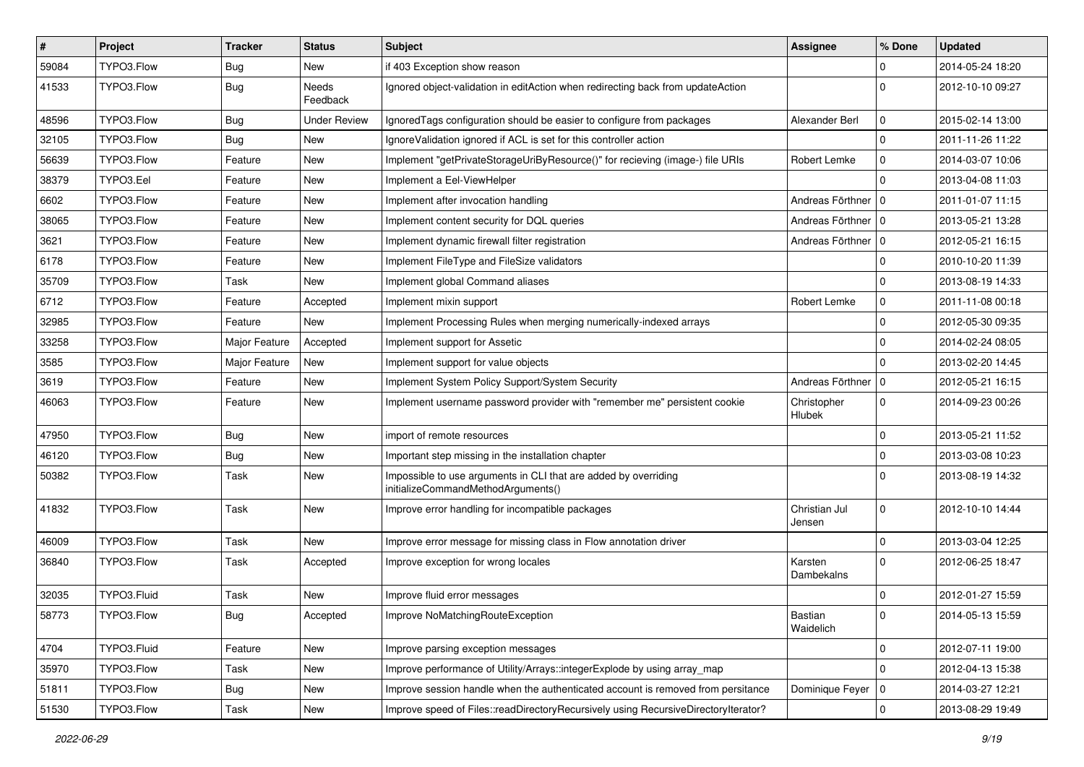| #     | Project     | <b>Tracker</b> | <b>Status</b>            | <b>Subject</b>                                                                                        | <b>Assignee</b>         | % Done       | <b>Updated</b>   |
|-------|-------------|----------------|--------------------------|-------------------------------------------------------------------------------------------------------|-------------------------|--------------|------------------|
| 59084 | TYPO3.Flow  | <b>Bug</b>     | New                      | if 403 Exception show reason                                                                          |                         | $\Omega$     | 2014-05-24 18:20 |
| 41533 | TYPO3.Flow  | <b>Bug</b>     | <b>Needs</b><br>Feedback | Ignored object-validation in editAction when redirecting back from updateAction                       |                         | $\Omega$     | 2012-10-10 09:27 |
| 48596 | TYPO3.Flow  | <b>Bug</b>     | <b>Under Review</b>      | Ignored Tags configuration should be easier to configure from packages                                | Alexander Berl          | $\mathbf 0$  | 2015-02-14 13:00 |
| 32105 | TYPO3.Flow  | <b>Bug</b>     | New                      | Ignore Validation ignored if ACL is set for this controller action                                    |                         | $\Omega$     | 2011-11-26 11:22 |
| 56639 | TYPO3.Flow  | Feature        | New                      | Implement "getPrivateStorageUriByResource()" for recieving (image-) file URIs                         | Robert Lemke            | $\mathbf 0$  | 2014-03-07 10:06 |
| 38379 | TYPO3.Eel   | Feature        | New                      | Implement a Eel-ViewHelper                                                                            |                         | $\Omega$     | 2013-04-08 11:03 |
| 6602  | TYPO3.Flow  | Feature        | New                      | Implement after invocation handling                                                                   | Andreas Förthner   0    |              | 2011-01-07 11:15 |
| 38065 | TYPO3.Flow  | Feature        | New                      | Implement content security for DQL queries                                                            | Andreas Förthner   0    |              | 2013-05-21 13:28 |
| 3621  | TYPO3.Flow  | Feature        | New                      | Implement dynamic firewall filter registration                                                        | Andreas Förthner   0    |              | 2012-05-21 16:15 |
| 6178  | TYPO3.Flow  | Feature        | New                      | Implement FileType and FileSize validators                                                            |                         | $\Omega$     | 2010-10-20 11:39 |
| 35709 | TYPO3.Flow  | Task           | New                      | Implement global Command aliases                                                                      |                         | $\Omega$     | 2013-08-19 14:33 |
| 6712  | TYPO3.Flow  | Feature        | Accepted                 | Implement mixin support                                                                               | Robert Lemke            | $\mathbf 0$  | 2011-11-08 00:18 |
| 32985 | TYPO3.Flow  | Feature        | New                      | Implement Processing Rules when merging numerically-indexed arrays                                    |                         | $\mathbf 0$  | 2012-05-30 09:35 |
| 33258 | TYPO3.Flow  | Major Feature  | Accepted                 | Implement support for Assetic                                                                         |                         | $\Omega$     | 2014-02-24 08:05 |
| 3585  | TYPO3.Flow  | Major Feature  | New                      | Implement support for value objects                                                                   |                         | $\Omega$     | 2013-02-20 14:45 |
| 3619  | TYPO3.Flow  | Feature        | New                      | Implement System Policy Support/System Security                                                       | Andreas Förthner   0    |              | 2012-05-21 16:15 |
| 46063 | TYPO3.Flow  | Feature        | New                      | Implement username password provider with "remember me" persistent cookie                             | Christopher<br>Hlubek   | $\mathbf{0}$ | 2014-09-23 00:26 |
| 47950 | TYPO3.Flow  | <b>Bug</b>     | New                      | import of remote resources                                                                            |                         | $\Omega$     | 2013-05-21 11:52 |
| 46120 | TYPO3.Flow  | <b>Bug</b>     | New                      | Important step missing in the installation chapter                                                    |                         | $\mathbf 0$  | 2013-03-08 10:23 |
| 50382 | TYPO3.Flow  | Task           | New                      | Impossible to use arguments in CLI that are added by overriding<br>initializeCommandMethodArguments() |                         | $\Omega$     | 2013-08-19 14:32 |
| 41832 | TYPO3.Flow  | <b>Task</b>    | New                      | Improve error handling for incompatible packages                                                      | Christian Jul<br>Jensen | $\mathbf 0$  | 2012-10-10 14:44 |
| 46009 | TYPO3.Flow  | Task           | New                      | Improve error message for missing class in Flow annotation driver                                     |                         | $\Omega$     | 2013-03-04 12:25 |
| 36840 | TYPO3.Flow  | Task           | Accepted                 | Improve exception for wrong locales                                                                   | Karsten<br>Dambekalns   | $\Omega$     | 2012-06-25 18:47 |
| 32035 | TYPO3.Fluid | Task           | New                      | Improve fluid error messages                                                                          |                         | $\mathbf 0$  | 2012-01-27 15:59 |
| 58773 | TYPO3.Flow  | Bug            | Accepted                 | Improve NoMatchingRouteException                                                                      | Bastian<br>Waidelich    | 0            | 2014-05-13 15:59 |
| 4704  | TYPO3.Fluid | Feature        | New                      | Improve parsing exception messages                                                                    |                         | $\mathbf 0$  | 2012-07-11 19:00 |
| 35970 | TYPO3.Flow  | Task           | New                      | Improve performance of Utility/Arrays::integerExplode by using array_map                              |                         | $\Omega$     | 2012-04-13 15:38 |
| 51811 | TYPO3.Flow  | <b>Bug</b>     | New                      | Improve session handle when the authenticated account is removed from persitance                      | Dominique Feyer   0     |              | 2014-03-27 12:21 |
| 51530 | TYPO3.Flow  | Task           | New                      | Improve speed of Files::readDirectoryRecursively using RecursiveDirectoryIterator?                    |                         | 0            | 2013-08-29 19:49 |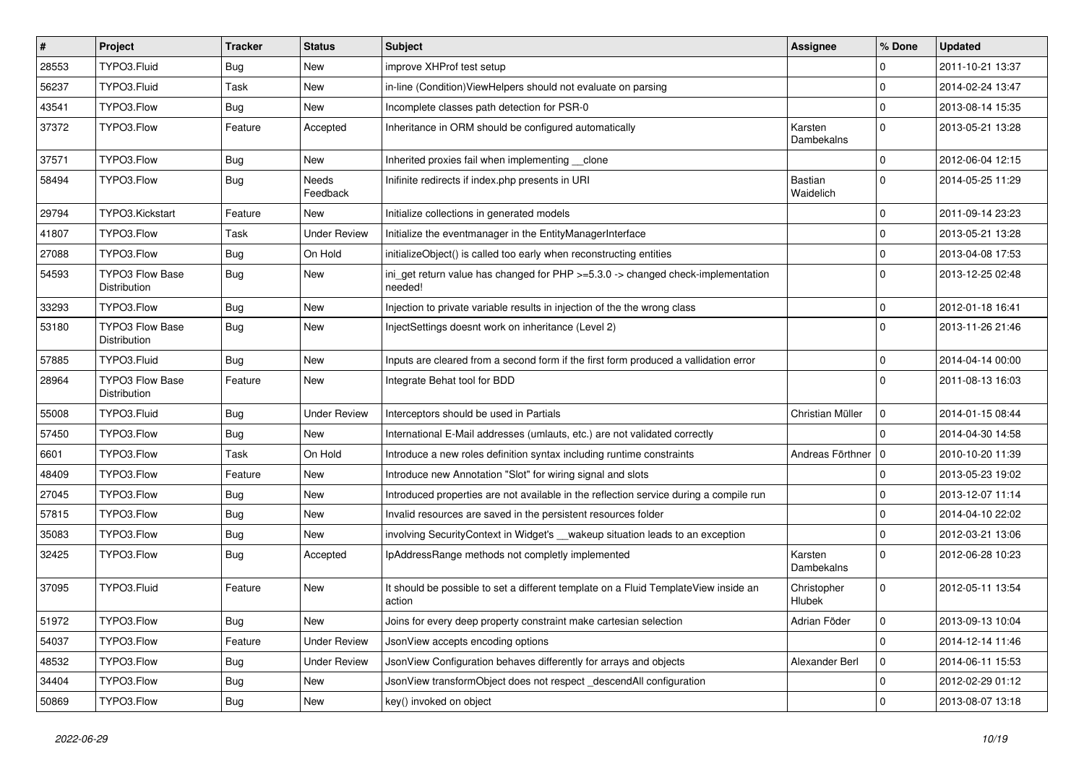| $\vert$ # | Project                                | <b>Tracker</b> | <b>Status</b>       | <b>Subject</b>                                                                                           | Assignee              | % Done              | <b>Updated</b>   |
|-----------|----------------------------------------|----------------|---------------------|----------------------------------------------------------------------------------------------------------|-----------------------|---------------------|------------------|
| 28553     | TYPO3.Fluid                            | <b>Bug</b>     | New                 | improve XHProf test setup                                                                                |                       | $\mathbf 0$         | 2011-10-21 13:37 |
| 56237     | TYPO3.Fluid                            | Task           | New                 | in-line (Condition) ViewHelpers should not evaluate on parsing                                           |                       | $\mathbf 0$         | 2014-02-24 13:47 |
| 43541     | TYPO3.Flow                             | Bug            | New                 | Incomplete classes path detection for PSR-0                                                              |                       | $\mathbf 0$         | 2013-08-14 15:35 |
| 37372     | TYPO3.Flow                             | Feature        | Accepted            | Inheritance in ORM should be configured automatically                                                    | Karsten<br>Dambekalns | $\mathbf 0$         | 2013-05-21 13:28 |
| 37571     | TYPO3.Flow                             | <b>Bug</b>     | New                 | Inherited proxies fail when implementing clone                                                           |                       | $\mathbf 0$         | 2012-06-04 12:15 |
| 58494     | TYPO3.Flow                             | <b>Bug</b>     | Needs<br>Feedback   | Inifinite redirects if index.php presents in URI                                                         | Bastian<br>Waidelich  | $\Omega$            | 2014-05-25 11:29 |
| 29794     | TYPO3.Kickstart                        | Feature        | New                 | Initialize collections in generated models                                                               |                       | $\Omega$            | 2011-09-14 23:23 |
| 41807     | TYPO3.Flow                             | Task           | <b>Under Review</b> | Initialize the eventmanager in the EntityManagerInterface                                                |                       | $\mathbf 0$         | 2013-05-21 13:28 |
| 27088     | TYPO3.Flow                             | Bug            | On Hold             | initializeObject() is called too early when reconstructing entities                                      |                       | $\mathbf 0$         | 2013-04-08 17:53 |
| 54593     | <b>TYPO3 Flow Base</b><br>Distribution | Bug            | New                 | ini_get return value has changed for $PHP \ge 5.3.0 \rightarrow$ changed check-implementation<br>needed! |                       | $\Omega$            | 2013-12-25 02:48 |
| 33293     | TYPO3.Flow                             | <b>Bug</b>     | New                 | Injection to private variable results in injection of the the wrong class                                |                       | $\mathbf 0$         | 2012-01-18 16:41 |
| 53180     | <b>TYPO3 Flow Base</b><br>Distribution | Bug            | New                 | InjectSettings doesnt work on inheritance (Level 2)                                                      |                       | $\Omega$            | 2013-11-26 21:46 |
| 57885     | TYPO3.Fluid                            | Bug            | New                 | Inputs are cleared from a second form if the first form produced a vallidation error                     |                       | $\Omega$            | 2014-04-14 00:00 |
| 28964     | TYPO3 Flow Base<br>Distribution        | Feature        | New                 | Integrate Behat tool for BDD                                                                             |                       | $\Omega$            | 2011-08-13 16:03 |
| 55008     | TYPO3.Fluid                            | <b>Bug</b>     | <b>Under Review</b> | Interceptors should be used in Partials                                                                  | Christian Müller      | $\mathbf 0$         | 2014-01-15 08:44 |
| 57450     | TYPO3.Flow                             | <b>Bug</b>     | New                 | International E-Mail addresses (umlauts, etc.) are not validated correctly                               |                       | $\Omega$            | 2014-04-30 14:58 |
| 6601      | TYPO3.Flow                             | Task           | On Hold             | Introduce a new roles definition syntax including runtime constraints                                    | Andreas Förthner   0  |                     | 2010-10-20 11:39 |
| 48409     | TYPO3.Flow                             | Feature        | New                 | Introduce new Annotation "Slot" for wiring signal and slots                                              |                       | $\Omega$            | 2013-05-23 19:02 |
| 27045     | TYPO3.Flow                             | <b>Bug</b>     | New                 | Introduced properties are not available in the reflection service during a compile run                   |                       | $\mathbf 0$         | 2013-12-07 11:14 |
| 57815     | TYPO3.Flow                             | <b>Bug</b>     | New                 | Invalid resources are saved in the persistent resources folder                                           |                       | $\mathbf 0$         | 2014-04-10 22:02 |
| 35083     | TYPO3.Flow                             | Bug            | New                 | involving SecurityContext in Widget's __wakeup situation leads to an exception                           |                       | $\mathbf 0$         | 2012-03-21 13:06 |
| 32425     | TYPO3.Flow                             | <b>Bug</b>     | Accepted            | IpAddressRange methods not completly implemented                                                         | Karsten<br>Dambekalns | $\Omega$            | 2012-06-28 10:23 |
| 37095     | TYPO3.Fluid                            | Feature        | New                 | It should be possible to set a different template on a Fluid TemplateView inside an<br>action            | Christopher<br>Hlubek | $\mathbf 0$         | 2012-05-11 13:54 |
| 51972     | TYPO3.Flow                             | <b>Bug</b>     | New                 | Joins for every deep property constraint make cartesian selection                                        | Adrian Föder          | 0                   | 2013-09-13 10:04 |
| 54037     | TYPO3.Flow                             | Feature        | <b>Under Review</b> | JsonView accepts encoding options                                                                        |                       | 0                   | 2014-12-14 11:46 |
| 48532     | TYPO3.Flow                             | <b>Bug</b>     | <b>Under Review</b> | JsonView Configuration behaves differently for arrays and objects                                        | Alexander Berl        | $\mathsf{O}\xspace$ | 2014-06-11 15:53 |
| 34404     | TYPO3.Flow                             | <b>Bug</b>     | New                 | JsonView transformObject does not respect _descendAll configuration                                      |                       | 0                   | 2012-02-29 01:12 |
| 50869     | TYPO3.Flow                             | Bug            | New                 | key() invoked on object                                                                                  |                       | $\pmb{0}$           | 2013-08-07 13:18 |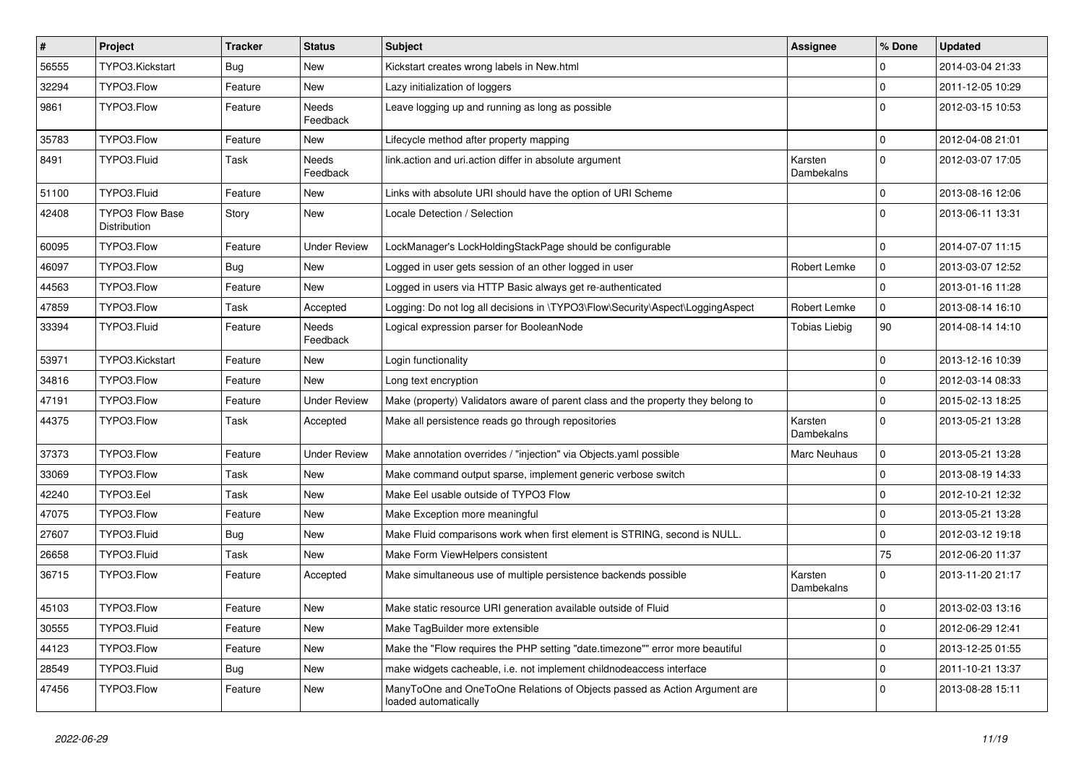| $\pmb{\#}$ | Project                                | <b>Tracker</b> | <b>Status</b>            | <b>Subject</b>                                                                                    | <b>Assignee</b>       | % Done      | <b>Updated</b>   |
|------------|----------------------------------------|----------------|--------------------------|---------------------------------------------------------------------------------------------------|-----------------------|-------------|------------------|
| 56555      | TYPO3.Kickstart                        | Bug            | <b>New</b>               | Kickstart creates wrong labels in New.html                                                        |                       | 0           | 2014-03-04 21:33 |
| 32294      | TYPO3.Flow                             | Feature        | New                      | Lazy initialization of loggers                                                                    |                       | $\mathbf 0$ | 2011-12-05 10:29 |
| 9861       | TYPO3.Flow                             | Feature        | <b>Needs</b><br>Feedback | Leave logging up and running as long as possible                                                  |                       | $\Omega$    | 2012-03-15 10:53 |
| 35783      | TYPO3.Flow                             | Feature        | New                      | Lifecycle method after property mapping                                                           |                       | $\mathbf 0$ | 2012-04-08 21:01 |
| 8491       | TYPO3.Fluid                            | Task           | Needs<br>Feedback        | link.action and uri.action differ in absolute argument                                            | Karsten<br>Dambekalns | $\mathbf 0$ | 2012-03-07 17:05 |
| 51100      | TYPO3.Fluid                            | Feature        | New                      | Links with absolute URI should have the option of URI Scheme                                      |                       | $\mathbf 0$ | 2013-08-16 12:06 |
| 42408      | <b>TYPO3 Flow Base</b><br>Distribution | Story          | New                      | Locale Detection / Selection                                                                      |                       | $\Omega$    | 2013-06-11 13:31 |
| 60095      | TYPO3.Flow                             | Feature        | <b>Under Review</b>      | LockManager's LockHoldingStackPage should be configurable                                         |                       | $\mathbf 0$ | 2014-07-07 11:15 |
| 46097      | TYPO3.Flow                             | <b>Bug</b>     | <b>New</b>               | Logged in user gets session of an other logged in user                                            | Robert Lemke          | $\mathbf 0$ | 2013-03-07 12:52 |
| 44563      | TYPO3.Flow                             | Feature        | <b>New</b>               | Logged in users via HTTP Basic always get re-authenticated                                        |                       | $\Omega$    | 2013-01-16 11:28 |
| 47859      | TYPO3.Flow                             | Task           | Accepted                 | Logging: Do not log all decisions in \TYPO3\Flow\Security\Aspect\LoggingAspect                    | Robert Lemke          | $\mathbf 0$ | 2013-08-14 16:10 |
| 33394      | TYPO3.Fluid                            | Feature        | <b>Needs</b><br>Feedback | Logical expression parser for BooleanNode                                                         | <b>Tobias Liebig</b>  | 90          | 2014-08-14 14:10 |
| 53971      | TYPO3.Kickstart                        | Feature        | New                      | Login functionality                                                                               |                       | $\mathbf 0$ | 2013-12-16 10:39 |
| 34816      | TYPO3.Flow                             | Feature        | New                      | Long text encryption                                                                              |                       | $\mathbf 0$ | 2012-03-14 08:33 |
| 47191      | TYPO3.Flow                             | Feature        | <b>Under Review</b>      | Make (property) Validators aware of parent class and the property they belong to                  |                       | $\mathbf 0$ | 2015-02-13 18:25 |
| 44375      | TYPO3.Flow                             | Task           | Accepted                 | Make all persistence reads go through repositories                                                | Karsten<br>Dambekalns | $\Omega$    | 2013-05-21 13:28 |
| 37373      | TYPO3.Flow                             | Feature        | <b>Under Review</b>      | Make annotation overrides / "injection" via Objects yaml possible                                 | <b>Marc Neuhaus</b>   | $\mathbf 0$ | 2013-05-21 13:28 |
| 33069      | TYPO3.Flow                             | Task           | New                      | Make command output sparse, implement generic verbose switch                                      |                       | $\mathbf 0$ | 2013-08-19 14:33 |
| 42240      | TYPO3.Eel                              | Task           | New                      | Make Eel usable outside of TYPO3 Flow                                                             |                       | $\mathbf 0$ | 2012-10-21 12:32 |
| 47075      | TYPO3.Flow                             | Feature        | New                      | Make Exception more meaningful                                                                    |                       | $\mathbf 0$ | 2013-05-21 13:28 |
| 27607      | TYPO3.Fluid                            | <b>Bug</b>     | New                      | Make Fluid comparisons work when first element is STRING, second is NULL.                         |                       | $\mathbf 0$ | 2012-03-12 19:18 |
| 26658      | TYPO3.Fluid                            | Task           | New                      | Make Form ViewHelpers consistent                                                                  |                       | 75          | 2012-06-20 11:37 |
| 36715      | TYPO3.Flow                             | Feature        | Accepted                 | Make simultaneous use of multiple persistence backends possible                                   | Karsten<br>Dambekalns | $\Omega$    | 2013-11-20 21:17 |
| 45103      | TYPO3.Flow                             | Feature        | New                      | Make static resource URI generation available outside of Fluid                                    |                       | $\mathbf 0$ | 2013-02-03 13:16 |
| 30555      | TYPO3.Fluid                            | Feature        | New                      | Make TagBuilder more extensible                                                                   |                       | $\mathbf 0$ | 2012-06-29 12:41 |
| 44123      | TYPO3.Flow                             | Feature        | New                      | Make the "Flow requires the PHP setting "date.timezone"" error more beautiful                     |                       | $\mathbf 0$ | 2013-12-25 01:55 |
| 28549      | TYPO3.Fluid                            | Bug            | New                      | make widgets cacheable, i.e. not implement childnodeaccess interface                              |                       | $\mathbf 0$ | 2011-10-21 13:37 |
| 47456      | TYPO3.Flow                             | Feature        | New                      | ManyToOne and OneToOne Relations of Objects passed as Action Argument are<br>loaded automatically |                       | $\Omega$    | 2013-08-28 15:11 |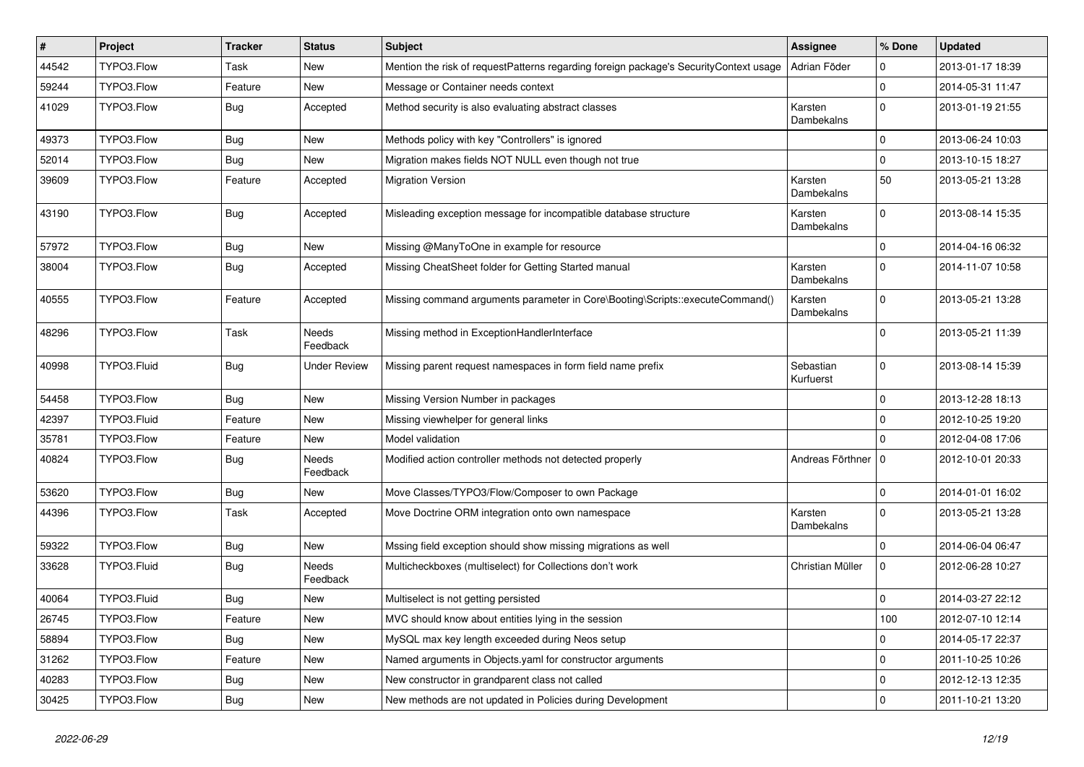| #     | Project     | <b>Tracker</b> | <b>Status</b>            | <b>Subject</b>                                                                        | Assignee               | % Done       | <b>Updated</b>   |
|-------|-------------|----------------|--------------------------|---------------------------------------------------------------------------------------|------------------------|--------------|------------------|
| 44542 | TYPO3.Flow  | <b>Task</b>    | New                      | Mention the risk of requestPatterns regarding foreign package's SecurityContext usage | Adrian Föder           | 0            | 2013-01-17 18:39 |
| 59244 | TYPO3.Flow  | Feature        | <b>New</b>               | Message or Container needs context                                                    |                        | $\mathbf 0$  | 2014-05-31 11:47 |
| 41029 | TYPO3.Flow  | <b>Bug</b>     | Accepted                 | Method security is also evaluating abstract classes                                   | Karsten<br>Dambekalns  | $\mathbf{0}$ | 2013-01-19 21:55 |
| 49373 | TYPO3.Flow  | <b>Bug</b>     | New                      | Methods policy with key "Controllers" is ignored                                      |                        | $\mathbf 0$  | 2013-06-24 10:03 |
| 52014 | TYPO3.Flow  | Bug            | New                      | Migration makes fields NOT NULL even though not true                                  |                        | $\mathbf 0$  | 2013-10-15 18:27 |
| 39609 | TYPO3.Flow  | Feature        | Accepted                 | <b>Migration Version</b>                                                              | Karsten<br>Dambekalns  | 50           | 2013-05-21 13:28 |
| 43190 | TYPO3.Flow  | <b>Bug</b>     | Accepted                 | Misleading exception message for incompatible database structure                      | Karsten<br>Dambekalns  | $\Omega$     | 2013-08-14 15:35 |
| 57972 | TYPO3.Flow  | <b>Bug</b>     | New                      | Missing @ManyToOne in example for resource                                            |                        | $\mathbf 0$  | 2014-04-16 06:32 |
| 38004 | TYPO3.Flow  | <b>Bug</b>     | Accepted                 | Missing CheatSheet folder for Getting Started manual                                  | Karsten<br>Dambekalns  | $\Omega$     | 2014-11-07 10:58 |
| 40555 | TYPO3.Flow  | Feature        | Accepted                 | Missing command arguments parameter in Core\Booting\Scripts::executeCommand()         | Karsten<br>Dambekalns  | $\mathbf{0}$ | 2013-05-21 13:28 |
| 48296 | TYPO3.Flow  | <b>Task</b>    | Needs<br>Feedback        | Missing method in ExceptionHandlerInterface                                           |                        | $\mathbf{0}$ | 2013-05-21 11:39 |
| 40998 | TYPO3.Fluid | <b>Bug</b>     | <b>Under Review</b>      | Missing parent request namespaces in form field name prefix                           | Sebastian<br>Kurfuerst | $\mathbf{0}$ | 2013-08-14 15:39 |
| 54458 | TYPO3.Flow  | Bug            | New                      | Missing Version Number in packages                                                    |                        | $\mathbf{0}$ | 2013-12-28 18:13 |
| 42397 | TYPO3.Fluid | Feature        | New                      | Missing viewhelper for general links                                                  |                        | $\mathbf{0}$ | 2012-10-25 19:20 |
| 35781 | TYPO3.Flow  | Feature        | New                      | Model validation                                                                      |                        | $\Omega$     | 2012-04-08 17:06 |
| 40824 | TYPO3.Flow  | <b>Bug</b>     | Needs<br>Feedback        | Modified action controller methods not detected properly                              | Andreas Förthner   0   |              | 2012-10-01 20:33 |
| 53620 | TYPO3.Flow  | <b>Bug</b>     | New                      | Move Classes/TYPO3/Flow/Composer to own Package                                       |                        | $\mathbf 0$  | 2014-01-01 16:02 |
| 44396 | TYPO3.Flow  | Task           | Accepted                 | Move Doctrine ORM integration onto own namespace                                      | Karsten<br>Dambekalns  | $\Omega$     | 2013-05-21 13:28 |
| 59322 | TYPO3.Flow  | <b>Bug</b>     | New                      | Mssing field exception should show missing migrations as well                         |                        | $\mathbf{0}$ | 2014-06-04 06:47 |
| 33628 | TYPO3.Fluid | <b>Bug</b>     | <b>Needs</b><br>Feedback | Multicheckboxes (multiselect) for Collections don't work                              | Christian Müller       | $\Omega$     | 2012-06-28 10:27 |
| 40064 | TYPO3.Fluid | <b>Bug</b>     | New                      | Multiselect is not getting persisted                                                  |                        | $\Omega$     | 2014-03-27 22:12 |
| 26745 | TYPO3.Flow  | Feature        | New                      | MVC should know about entities lying in the session                                   |                        | 100          | 2012-07-10 12:14 |
| 58894 | TYPO3.Flow  | <b>Bug</b>     | New                      | MySQL max key length exceeded during Neos setup                                       |                        | $\mathbf 0$  | 2014-05-17 22:37 |
| 31262 | TYPO3.Flow  | Feature        | New                      | Named arguments in Objects.yaml for constructor arguments                             |                        | $\mathbf 0$  | 2011-10-25 10:26 |
| 40283 | TYPO3.Flow  | Bug            | New                      | New constructor in grandparent class not called                                       |                        | $\mathbf 0$  | 2012-12-13 12:35 |
| 30425 | TYPO3.Flow  | <b>Bug</b>     | New                      | New methods are not updated in Policies during Development                            |                        | $\pmb{0}$    | 2011-10-21 13:20 |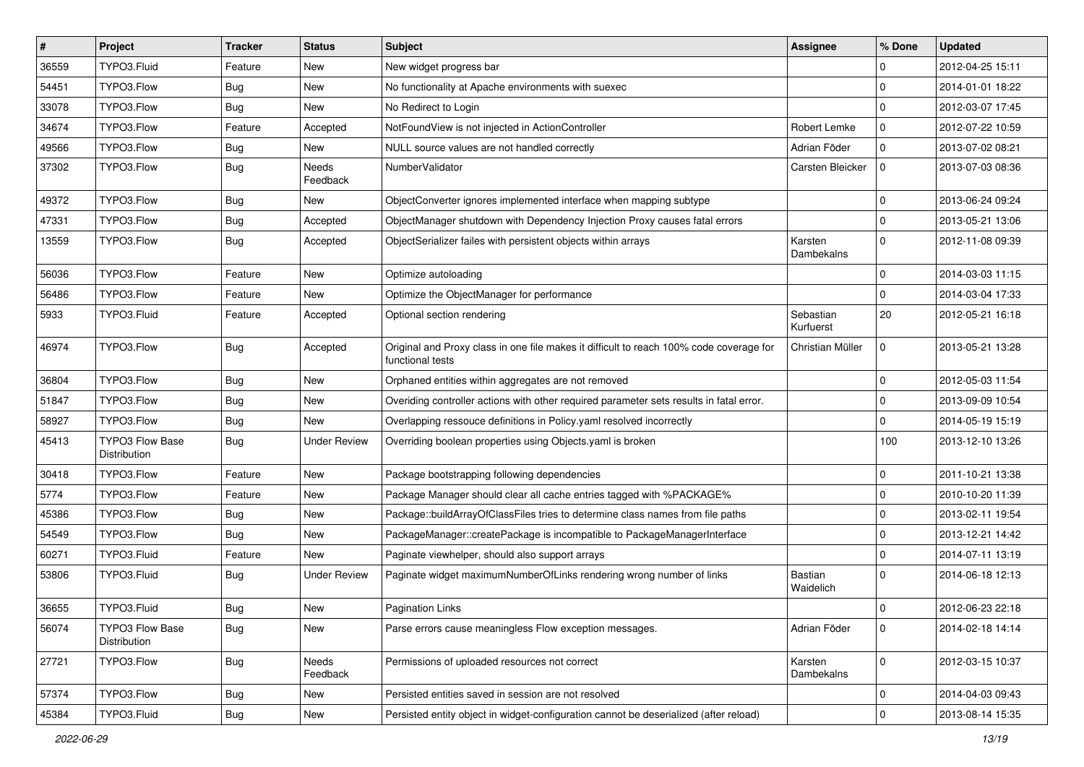| $\vert$ # | Project                                | <b>Tracker</b> | <b>Status</b>       | <b>Subject</b>                                                                                              | <b>Assignee</b>        | % Done              | <b>Updated</b>   |
|-----------|----------------------------------------|----------------|---------------------|-------------------------------------------------------------------------------------------------------------|------------------------|---------------------|------------------|
| 36559     | TYPO3.Fluid                            | Feature        | New                 | New widget progress bar                                                                                     |                        | $\mathbf 0$         | 2012-04-25 15:11 |
| 54451     | TYPO3.Flow                             | <b>Bug</b>     | New                 | No functionality at Apache environments with suexec                                                         |                        | $\mathbf 0$         | 2014-01-01 18:22 |
| 33078     | TYPO3.Flow                             | Bug            | New                 | No Redirect to Login                                                                                        |                        | $\mathbf 0$         | 2012-03-07 17:45 |
| 34674     | TYPO3.Flow                             | Feature        | Accepted            | NotFoundView is not injected in ActionController                                                            | Robert Lemke           | 0                   | 2012-07-22 10:59 |
| 49566     | TYPO3.Flow                             | <b>Bug</b>     | New                 | NULL source values are not handled correctly                                                                | Adrian Föder           | $\mathbf 0$         | 2013-07-02 08:21 |
| 37302     | TYPO3.Flow                             | Bug            | Needs<br>Feedback   | NumberValidator                                                                                             | Carsten Bleicker       | $\mathbf 0$         | 2013-07-03 08:36 |
| 49372     | TYPO3.Flow                             | <b>Bug</b>     | New                 | ObjectConverter ignores implemented interface when mapping subtype                                          |                        | $\mathbf 0$         | 2013-06-24 09:24 |
| 47331     | TYPO3.Flow                             | <b>Bug</b>     | Accepted            | ObjectManager shutdown with Dependency Injection Proxy causes fatal errors                                  |                        | $\mathbf 0$         | 2013-05-21 13:06 |
| 13559     | TYPO3.Flow                             | Bug            | Accepted            | ObjectSerializer failes with persistent objects within arrays                                               | Karsten<br>Dambekalns  | $\Omega$            | 2012-11-08 09:39 |
| 56036     | TYPO3.Flow                             | Feature        | New                 | Optimize autoloading                                                                                        |                        | $\mathbf 0$         | 2014-03-03 11:15 |
| 56486     | TYPO3.Flow                             | Feature        | New                 | Optimize the ObjectManager for performance                                                                  |                        | $\mathbf 0$         | 2014-03-04 17:33 |
| 5933      | TYPO3.Fluid                            | Feature        | Accepted            | Optional section rendering                                                                                  | Sebastian<br>Kurfuerst | 20                  | 2012-05-21 16:18 |
| 46974     | TYPO3.Flow                             | <b>Bug</b>     | Accepted            | Original and Proxy class in one file makes it difficult to reach 100% code coverage for<br>functional tests | Christian Müller       | $\mathbf 0$         | 2013-05-21 13:28 |
| 36804     | TYPO3.Flow                             | <b>Bug</b>     | New                 | Orphaned entities within aggregates are not removed                                                         |                        | $\mathbf 0$         | 2012-05-03 11:54 |
| 51847     | TYPO3.Flow                             | Bug            | New                 | Overiding controller actions with other required parameter sets results in fatal error.                     |                        | $\mathbf 0$         | 2013-09-09 10:54 |
| 58927     | TYPO3.Flow                             | <b>Bug</b>     | New                 | Overlapping ressouce definitions in Policy.yaml resolved incorrectly                                        |                        | $\mathbf 0$         | 2014-05-19 15:19 |
| 45413     | TYPO3 Flow Base<br>Distribution        | <b>Bug</b>     | <b>Under Review</b> | Overriding boolean properties using Objects.yaml is broken                                                  |                        | 100                 | 2013-12-10 13:26 |
| 30418     | TYPO3.Flow                             | Feature        | New                 | Package bootstrapping following dependencies                                                                |                        | $\mathbf 0$         | 2011-10-21 13:38 |
| 5774      | TYPO3.Flow                             | Feature        | New                 | Package Manager should clear all cache entries tagged with %PACKAGE%                                        |                        | $\mathbf 0$         | 2010-10-20 11:39 |
| 45386     | TYPO3.Flow                             | <b>Bug</b>     | New                 | Package::buildArrayOfClassFiles tries to determine class names from file paths                              |                        | $\mathbf 0$         | 2013-02-11 19:54 |
| 54549     | TYPO3.Flow                             | Bug            | New                 | PackageManager::createPackage is incompatible to PackageManagerInterface                                    |                        | $\mathbf 0$         | 2013-12-21 14:42 |
| 60271     | TYPO3.Fluid                            | Feature        | New                 | Paginate viewhelper, should also support arrays                                                             |                        | $\mathbf 0$         | 2014-07-11 13:19 |
| 53806     | TYPO3.Fluid                            | <b>Bug</b>     | <b>Under Review</b> | Paginate widget maximumNumberOfLinks rendering wrong number of links                                        | Bastian<br>Waidelich   | $\Omega$            | 2014-06-18 12:13 |
| 36655     | TYPO3.Fluid                            | Bug            | New                 | <b>Pagination Links</b>                                                                                     |                        | $\mathbf 0$         | 2012-06-23 22:18 |
| 56074     | <b>TYPO3 Flow Base</b><br>Distribution | <b>Bug</b>     | New                 | Parse errors cause meaningless Flow exception messages.                                                     | Adrian Föder           | $\mathbf 0$         | 2014-02-18 14:14 |
| 27721     | TYPO3.Flow                             | <b>Bug</b>     | Needs<br>Feedback   | Permissions of uploaded resources not correct                                                               | Karsten<br>Dambekalns  | $\mathbf{0}$        | 2012-03-15 10:37 |
| 57374     | TYPO3.Flow                             | Bug            | New                 | Persisted entities saved in session are not resolved                                                        |                        | 0                   | 2014-04-03 09:43 |
| 45384     | TYPO3.Fluid                            | Bug            | New                 | Persisted entity object in widget-configuration cannot be deserialized (after reload)                       |                        | $\mathsf{O}\xspace$ | 2013-08-14 15:35 |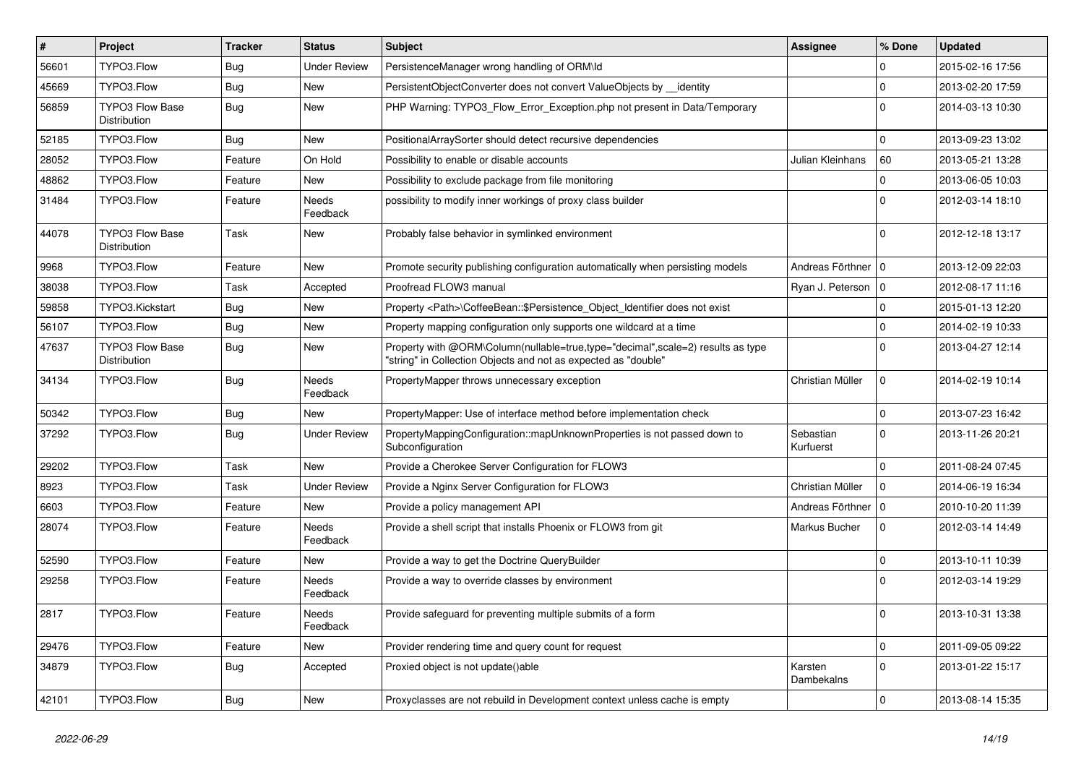| $\vert$ # | <b>Project</b>                         | <b>Tracker</b> | <b>Status</b>       | <b>Subject</b>                                                                                                                                    | <b>Assignee</b>        | % Done              | <b>Updated</b>   |
|-----------|----------------------------------------|----------------|---------------------|---------------------------------------------------------------------------------------------------------------------------------------------------|------------------------|---------------------|------------------|
| 56601     | TYPO3.Flow                             | <b>Bug</b>     | Under Review        | PersistenceManager wrong handling of ORM\ld                                                                                                       |                        | $\Omega$            | 2015-02-16 17:56 |
| 45669     | TYPO3.Flow                             | <b>Bug</b>     | New                 | PersistentObjectConverter does not convert ValueObjects by __identity                                                                             |                        | $\mathbf 0$         | 2013-02-20 17:59 |
| 56859     | <b>TYPO3 Flow Base</b><br>Distribution | Bug            | New                 | PHP Warning: TYPO3_Flow_Error_Exception.php not present in Data/Temporary                                                                         |                        | $\Omega$            | 2014-03-13 10:30 |
| 52185     | TYPO3.Flow                             | <b>Bug</b>     | New                 | PositionalArraySorter should detect recursive dependencies                                                                                        |                        | $\Omega$            | 2013-09-23 13:02 |
| 28052     | TYPO3.Flow                             | Feature        | On Hold             | Possibility to enable or disable accounts                                                                                                         | Julian Kleinhans       | 60                  | 2013-05-21 13:28 |
| 48862     | TYPO3.Flow                             | Feature        | New                 | Possibility to exclude package from file monitoring                                                                                               |                        | $\mathbf 0$         | 2013-06-05 10:03 |
| 31484     | TYPO3.Flow                             | Feature        | Needs<br>Feedback   | possibility to modify inner workings of proxy class builder                                                                                       |                        | $\Omega$            | 2012-03-14 18:10 |
| 44078     | <b>TYPO3 Flow Base</b><br>Distribution | Task           | New                 | Probably false behavior in symlinked environment                                                                                                  |                        | $\Omega$            | 2012-12-18 13:17 |
| 9968      | TYPO3.Flow                             | Feature        | New                 | Promote security publishing configuration automatically when persisting models                                                                    | Andreas Förthner   0   |                     | 2013-12-09 22:03 |
| 38038     | TYPO3.Flow                             | Task           | Accepted            | Proofread FLOW3 manual                                                                                                                            | Ryan J. Peterson   0   |                     | 2012-08-17 11:16 |
| 59858     | TYPO3.Kickstart                        | <b>Bug</b>     | New                 | Property <path>\CoffeeBean::\$Persistence_Object_Identifier does not exist</path>                                                                 |                        | $\Omega$            | 2015-01-13 12:20 |
| 56107     | TYPO3.Flow                             | <b>Bug</b>     | New                 | Property mapping configuration only supports one wildcard at a time                                                                               |                        | $\Omega$            | 2014-02-19 10:33 |
| 47637     | <b>TYPO3 Flow Base</b><br>Distribution | <b>Bug</b>     | New                 | Property with @ORM\Column(nullable=true,type="decimal",scale=2) results as type<br>"string" in Collection Objects and not as expected as "double" |                        | $\Omega$            | 2013-04-27 12:14 |
| 34134     | TYPO3.Flow                             | <b>Bug</b>     | Needs<br>Feedback   | PropertyMapper throws unnecessary exception                                                                                                       | Christian Müller       | $\mathbf 0$         | 2014-02-19 10:14 |
| 50342     | TYPO3.Flow                             | <b>Bug</b>     | New                 | PropertyMapper: Use of interface method before implementation check                                                                               |                        | $\Omega$            | 2013-07-23 16:42 |
| 37292     | TYPO3.Flow                             | <b>Bug</b>     | <b>Under Review</b> | PropertyMappingConfiguration::mapUnknownProperties is not passed down to<br>Subconfiguration                                                      | Sebastian<br>Kurfuerst | $\Omega$            | 2013-11-26 20:21 |
| 29202     | TYPO3.Flow                             | Task           | New                 | Provide a Cherokee Server Configuration for FLOW3                                                                                                 |                        | $\Omega$            | 2011-08-24 07:45 |
| 8923      | TYPO3.Flow                             | Task           | Under Review        | Provide a Nginx Server Configuration for FLOW3                                                                                                    | Christian Müller       | $\mathbf 0$         | 2014-06-19 16:34 |
| 6603      | TYPO3.Flow                             | Feature        | New                 | Provide a policy management API                                                                                                                   | Andreas Förthner   0   |                     | 2010-10-20 11:39 |
| 28074     | TYPO3.Flow                             | Feature        | Needs<br>Feedback   | Provide a shell script that installs Phoenix or FLOW3 from git                                                                                    | Markus Bucher          | $\mathbf 0$         | 2012-03-14 14:49 |
| 52590     | TYPO3.Flow                             | Feature        | New                 | Provide a way to get the Doctrine QueryBuilder                                                                                                    |                        | $\mathbf 0$         | 2013-10-11 10:39 |
| 29258     | TYPO3.Flow                             | Feature        | Needs<br>Feedback   | Provide a way to override classes by environment                                                                                                  |                        | $\Omega$            | 2012-03-14 19:29 |
| 2817      | TYPO3.Flow                             | Feature        | Needs<br>Feedback   | Provide safeguard for preventing multiple submits of a form                                                                                       |                        |                     | 2013-10-31 13:38 |
| 29476     | TYPO3.Flow                             | Feature        | New                 | Provider rendering time and query count for request                                                                                               |                        | $\mathbf 0$         | 2011-09-05 09:22 |
| 34879     | TYPO3.Flow                             | <b>Bug</b>     | Accepted            | Proxied object is not update()able                                                                                                                | Karsten<br>Dambekalns  | $\mathbf{0}$        | 2013-01-22 15:17 |
| 42101     | TYPO3.Flow                             | <b>Bug</b>     | New                 | Proxyclasses are not rebuild in Development context unless cache is empty                                                                         |                        | $\mathsf{O}\xspace$ | 2013-08-14 15:35 |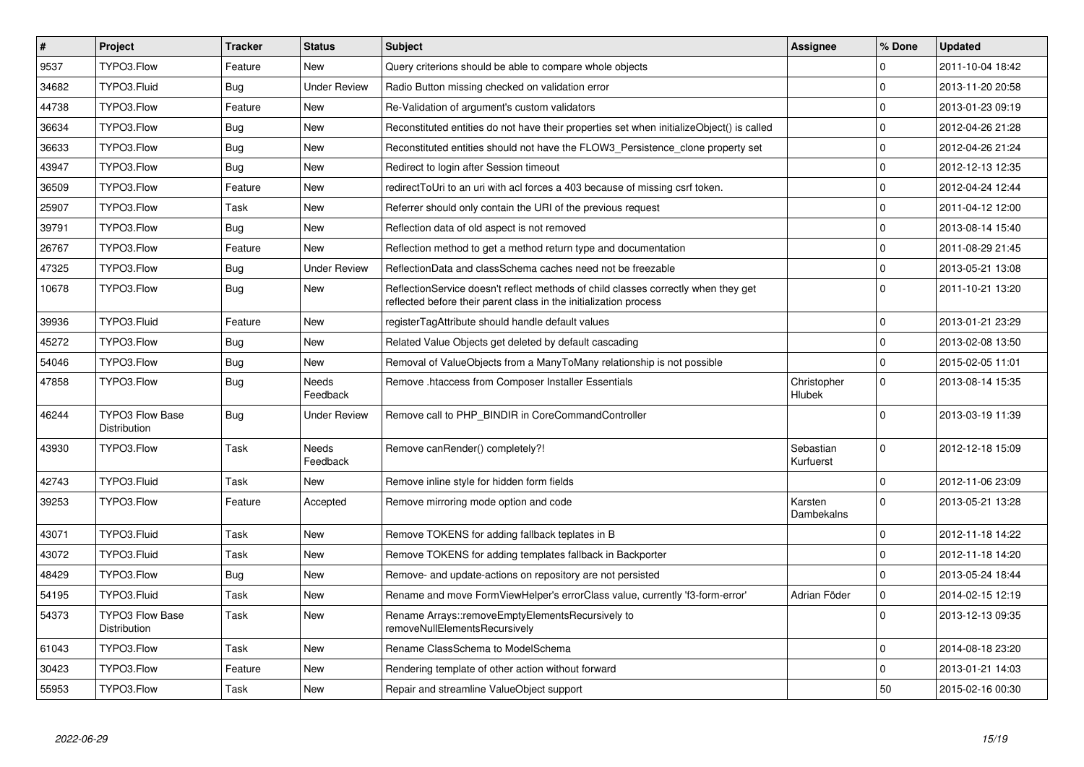| $\vert$ # | Project                                | <b>Tracker</b> | <b>Status</b>       | <b>Subject</b>                                                                                                                                          | Assignee               | % Done              | <b>Updated</b>   |
|-----------|----------------------------------------|----------------|---------------------|---------------------------------------------------------------------------------------------------------------------------------------------------------|------------------------|---------------------|------------------|
| 9537      | TYPO3.Flow                             | Feature        | <b>New</b>          | Query criterions should be able to compare whole objects                                                                                                |                        | $\Omega$            | 2011-10-04 18:42 |
| 34682     | TYPO3.Fluid                            | <b>Bug</b>     | <b>Under Review</b> | Radio Button missing checked on validation error                                                                                                        |                        | $\Omega$            | 2013-11-20 20:58 |
| 44738     | TYPO3.Flow                             | Feature        | New                 | Re-Validation of argument's custom validators                                                                                                           |                        | $\mathbf 0$         | 2013-01-23 09:19 |
| 36634     | TYPO3.Flow                             | Bug            | <b>New</b>          | Reconstituted entities do not have their properties set when initializeObject() is called                                                               |                        | $\mathbf 0$         | 2012-04-26 21:28 |
| 36633     | TYPO3.Flow                             | Bug            | New                 | Reconstituted entities should not have the FLOW3 Persistence clone property set                                                                         |                        | $\mathbf 0$         | 2012-04-26 21:24 |
| 43947     | TYPO3.Flow                             | <b>Bug</b>     | <b>New</b>          | Redirect to login after Session timeout                                                                                                                 |                        | $\mathbf 0$         | 2012-12-13 12:35 |
| 36509     | TYPO3.Flow                             | Feature        | New                 | redirectToUri to an uri with acl forces a 403 because of missing csrf token.                                                                            |                        | $\mathbf 0$         | 2012-04-24 12:44 |
| 25907     | TYPO3.Flow                             | Task           | New                 | Referrer should only contain the URI of the previous request                                                                                            |                        | $\mathbf 0$         | 2011-04-12 12:00 |
| 39791     | TYPO3.Flow                             | <b>Bug</b>     | New                 | Reflection data of old aspect is not removed                                                                                                            |                        | $\mathbf 0$         | 2013-08-14 15:40 |
| 26767     | TYPO3.Flow                             | Feature        | New                 | Reflection method to get a method return type and documentation                                                                                         |                        | $\mathbf 0$         | 2011-08-29 21:45 |
| 47325     | TYPO3.Flow                             | Bug            | <b>Under Review</b> | ReflectionData and classSchema caches need not be freezable                                                                                             |                        | $\mathbf 0$         | 2013-05-21 13:08 |
| 10678     | TYPO3.Flow                             | <b>Bug</b>     | New                 | ReflectionService doesn't reflect methods of child classes correctly when they get<br>reflected before their parent class in the initialization process |                        | $\Omega$            | 2011-10-21 13:20 |
| 39936     | TYPO3.Fluid                            | Feature        | New                 | registerTagAttribute should handle default values                                                                                                       |                        | $\mathbf 0$         | 2013-01-21 23:29 |
| 45272     | TYPO3.Flow                             | <b>Bug</b>     | New                 | Related Value Objects get deleted by default cascading                                                                                                  |                        | $\mathbf 0$         | 2013-02-08 13:50 |
| 54046     | TYPO3.Flow                             | <b>Bug</b>     | New                 | Removal of ValueObjects from a ManyToMany relationship is not possible                                                                                  |                        | 0                   | 2015-02-05 11:01 |
| 47858     | TYPO3.Flow                             | Bug            | Needs<br>Feedback   | Remove .htaccess from Composer Installer Essentials                                                                                                     | Christopher<br>Hlubek  | $\mathbf 0$         | 2013-08-14 15:35 |
| 46244     | <b>TYPO3 Flow Base</b><br>Distribution | <b>Bug</b>     | <b>Under Review</b> | Remove call to PHP BINDIR in CoreCommandController                                                                                                      |                        | $\Omega$            | 2013-03-19 11:39 |
| 43930     | TYPO3.Flow                             | Task           | Needs<br>Feedback   | Remove canRender() completely?!                                                                                                                         | Sebastian<br>Kurfuerst | $\Omega$            | 2012-12-18 15:09 |
| 42743     | TYPO3.Fluid                            | Task           | <b>New</b>          | Remove inline style for hidden form fields                                                                                                              |                        | $\Omega$            | 2012-11-06 23:09 |
| 39253     | TYPO3.Flow                             | Feature        | Accepted            | Remove mirroring mode option and code                                                                                                                   | Karsten<br>Dambekalns  | $\mathbf 0$         | 2013-05-21 13:28 |
| 43071     | TYPO3.Fluid                            | Task           | <b>New</b>          | Remove TOKENS for adding fallback teplates in B                                                                                                         |                        | $\Omega$            | 2012-11-18 14:22 |
| 43072     | TYPO3.Fluid                            | Task           | New                 | Remove TOKENS for adding templates fallback in Backporter                                                                                               |                        | $\mathbf 0$         | 2012-11-18 14:20 |
| 48429     | TYPO3.Flow                             | <b>Bug</b>     | New                 | Remove- and update-actions on repository are not persisted                                                                                              |                        | $\mathbf 0$         | 2013-05-24 18:44 |
| 54195     | TYPO3.Fluid                            | Task           | New                 | Rename and move FormViewHelper's errorClass value, currently 'f3-form-error'                                                                            | Adrian Föder           | $\mathsf{O}\xspace$ | 2014-02-15 12:19 |
| 54373     | <b>TYPO3 Flow Base</b><br>Distribution | Task           | New                 | Rename Arrays::removeEmptyElementsRecursively to<br>removeNullElementsRecursively                                                                       |                        | $\mathbf{0}$        | 2013-12-13 09:35 |
| 61043     | TYPO3.Flow                             | Task           | <b>New</b>          | Rename ClassSchema to ModelSchema                                                                                                                       |                        | $\mathbf 0$         | 2014-08-18 23:20 |
| 30423     | TYPO3.Flow                             | Feature        | New                 | Rendering template of other action without forward                                                                                                      |                        | $\mathbf 0$         | 2013-01-21 14:03 |
| 55953     | TYPO3.Flow                             | Task           | New                 | Repair and streamline ValueObject support                                                                                                               |                        | 50                  | 2015-02-16 00:30 |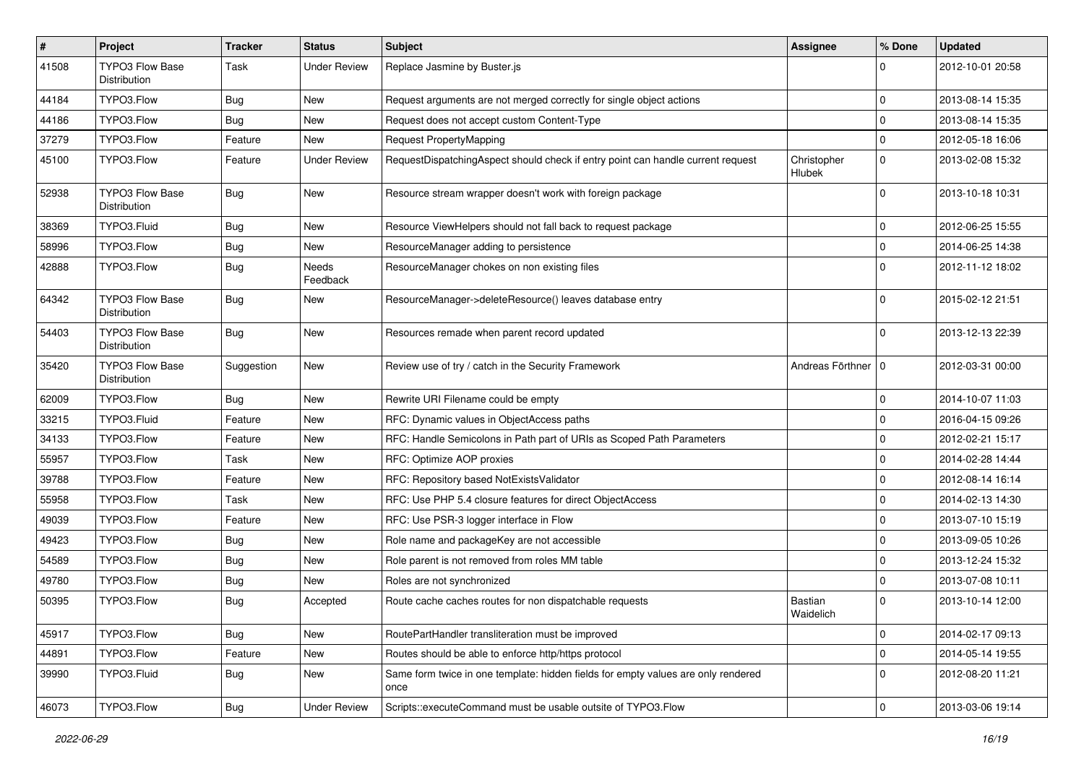| $\pmb{\#}$ | Project                                | <b>Tracker</b> | <b>Status</b>       | Subject                                                                                   | <b>Assignee</b>       | % Done      | <b>Updated</b>   |
|------------|----------------------------------------|----------------|---------------------|-------------------------------------------------------------------------------------------|-----------------------|-------------|------------------|
| 41508      | <b>TYPO3 Flow Base</b><br>Distribution | Task           | <b>Under Review</b> | Replace Jasmine by Buster.js                                                              |                       | 0           | 2012-10-01 20:58 |
| 44184      | TYPO3.Flow                             | <b>Bug</b>     | New                 | Request arguments are not merged correctly for single object actions                      |                       | $\mathbf 0$ | 2013-08-14 15:35 |
| 44186      | TYPO3.Flow                             | <b>Bug</b>     | New                 | Request does not accept custom Content-Type                                               |                       | $\mathbf 0$ | 2013-08-14 15:35 |
| 37279      | TYPO3.Flow                             | Feature        | <b>New</b>          | Request PropertyMapping                                                                   |                       | $\mathbf 0$ | 2012-05-18 16:06 |
| 45100      | TYPO3.Flow                             | Feature        | <b>Under Review</b> | RequestDispatchingAspect should check if entry point can handle current request           | Christopher<br>Hlubek | $\mathbf 0$ | 2013-02-08 15:32 |
| 52938      | <b>TYPO3 Flow Base</b><br>Distribution | <b>Bug</b>     | New                 | Resource stream wrapper doesn't work with foreign package                                 |                       | $\mathbf 0$ | 2013-10-18 10:31 |
| 38369      | TYPO3.Fluid                            | <b>Bug</b>     | New                 | Resource ViewHelpers should not fall back to request package                              |                       | 0           | 2012-06-25 15:55 |
| 58996      | TYPO3.Flow                             | <b>Bug</b>     | New                 | ResourceManager adding to persistence                                                     |                       | $\mathbf 0$ | 2014-06-25 14:38 |
| 42888      | TYPO3.Flow                             | <b>Bug</b>     | Needs<br>Feedback   | ResourceManager chokes on non existing files                                              |                       | $\Omega$    | 2012-11-12 18:02 |
| 64342      | <b>TYPO3 Flow Base</b><br>Distribution | <b>Bug</b>     | New                 | ResourceManager->deleteResource() leaves database entry                                   |                       | 0           | 2015-02-12 21:51 |
| 54403      | <b>TYPO3 Flow Base</b><br>Distribution | <b>Bug</b>     | New                 | Resources remade when parent record updated                                               |                       | $\Omega$    | 2013-12-13 22:39 |
| 35420      | <b>TYPO3 Flow Base</b><br>Distribution | Suggestion     | New                 | Review use of try / catch in the Security Framework                                       | Andreas Förthner   0  |             | 2012-03-31 00:00 |
| 62009      | TYPO3.Flow                             | <b>Bug</b>     | New                 | Rewrite URI Filename could be empty                                                       |                       | 0           | 2014-10-07 11:03 |
| 33215      | TYPO3.Fluid                            | Feature        | New                 | RFC: Dynamic values in ObjectAccess paths                                                 |                       | $\Omega$    | 2016-04-15 09:26 |
| 34133      | TYPO3.Flow                             | Feature        | New                 | RFC: Handle Semicolons in Path part of URIs as Scoped Path Parameters                     |                       | $\mathbf 0$ | 2012-02-21 15:17 |
| 55957      | TYPO3.Flow                             | Task           | New                 | RFC: Optimize AOP proxies                                                                 |                       | $\Omega$    | 2014-02-28 14:44 |
| 39788      | TYPO3.Flow                             | Feature        | New                 | RFC: Repository based NotExistsValidator                                                  |                       | $\mathbf 0$ | 2012-08-14 16:14 |
| 55958      | TYPO3.Flow                             | Task           | New                 | RFC: Use PHP 5.4 closure features for direct ObjectAccess                                 |                       | $\Omega$    | 2014-02-13 14:30 |
| 49039      | TYPO3.Flow                             | Feature        | New                 | RFC: Use PSR-3 logger interface in Flow                                                   |                       | 0           | 2013-07-10 15:19 |
| 49423      | TYPO3.Flow                             | <b>Bug</b>     | New                 | Role name and packageKey are not accessible                                               |                       | $\mathbf 0$ | 2013-09-05 10:26 |
| 54589      | TYPO3.Flow                             | <b>Bug</b>     | New                 | Role parent is not removed from roles MM table                                            |                       | $\Omega$    | 2013-12-24 15:32 |
| 49780      | TYPO3.Flow                             | <b>Bug</b>     | New                 | Roles are not synchronized                                                                |                       | $\mathbf 0$ | 2013-07-08 10:11 |
| 50395      | TYPO3.Flow                             | <b>Bug</b>     | Accepted            | Route cache caches routes for non dispatchable requests                                   | Bastian<br>Waidelich  | $\Omega$    | 2013-10-14 12:00 |
| 45917      | TYPO3.Flow                             | <b>Bug</b>     | New                 | RoutePartHandler transliteration must be improved                                         |                       | 0           | 2014-02-17 09:13 |
| 44891      | TYPO3.Flow                             | Feature        | New                 | Routes should be able to enforce http/https protocol                                      |                       | $\mathbf 0$ | 2014-05-14 19:55 |
| 39990      | TYPO3.Fluid                            | <b>Bug</b>     | New                 | Same form twice in one template: hidden fields for empty values are only rendered<br>once |                       | $\Omega$    | 2012-08-20 11:21 |
| 46073      | TYPO3.Flow                             | <b>Bug</b>     | <b>Under Review</b> | Scripts::executeCommand must be usable outsite of TYPO3.Flow                              |                       | $\mathbf 0$ | 2013-03-06 19:14 |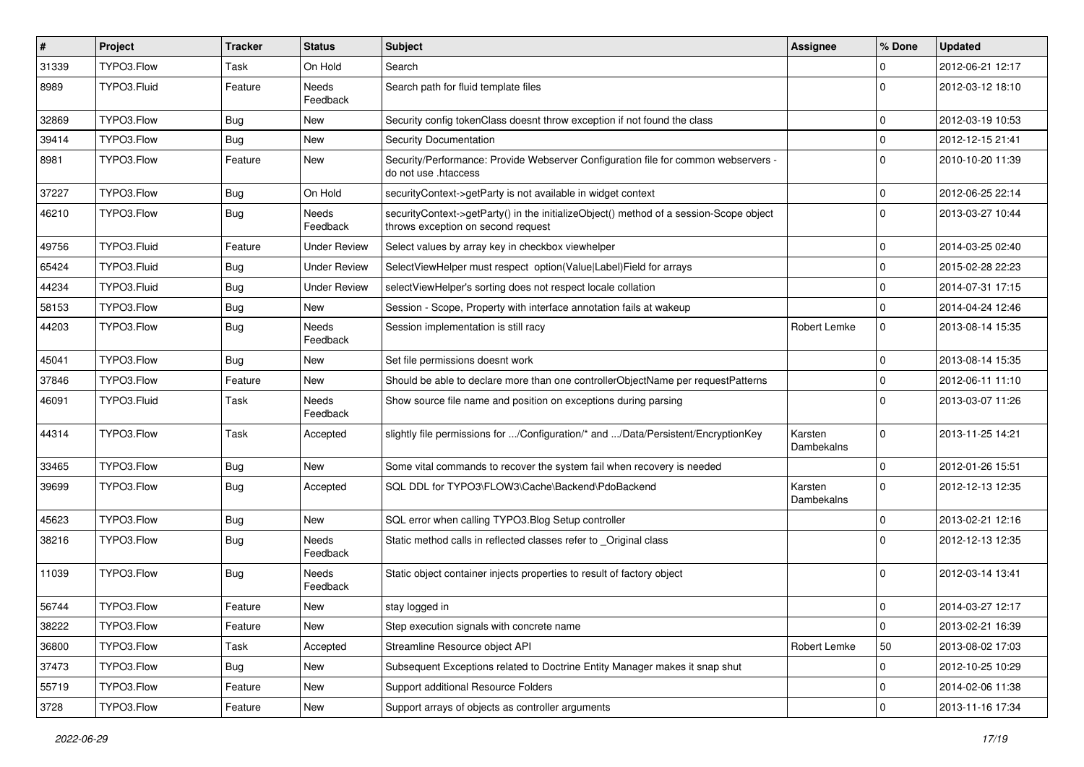| $\pmb{\#}$ | Project     | <b>Tracker</b> | <b>Status</b>            | Subject                                                                                                                      | Assignee              | % Done      | <b>Updated</b>   |
|------------|-------------|----------------|--------------------------|------------------------------------------------------------------------------------------------------------------------------|-----------------------|-------------|------------------|
| 31339      | TYPO3.Flow  | Task           | On Hold                  | Search                                                                                                                       |                       | $\Omega$    | 2012-06-21 12:17 |
| 8989       | TYPO3.Fluid | Feature        | Needs<br>Feedback        | Search path for fluid template files                                                                                         |                       | $\Omega$    | 2012-03-12 18:10 |
| 32869      | TYPO3.Flow  | <b>Bug</b>     | New                      | Security config tokenClass doesnt throw exception if not found the class                                                     |                       | $\mathbf 0$ | 2012-03-19 10:53 |
| 39414      | TYPO3.Flow  | <b>Bug</b>     | <b>New</b>               | Security Documentation                                                                                                       |                       | $\mathbf 0$ | 2012-12-15 21:41 |
| 8981       | TYPO3.Flow  | Feature        | New                      | Security/Performance: Provide Webserver Configuration file for common webservers -<br>do not use .htaccess                   |                       | $\Omega$    | 2010-10-20 11:39 |
| 37227      | TYPO3.Flow  | <b>Bug</b>     | On Hold                  | securityContext->getParty is not available in widget context                                                                 |                       | $\mathbf 0$ | 2012-06-25 22:14 |
| 46210      | TYPO3.Flow  | <b>Bug</b>     | Needs<br>Feedback        | securityContext->getParty() in the initializeObject() method of a session-Scope object<br>throws exception on second request |                       | $\Omega$    | 2013-03-27 10:44 |
| 49756      | TYPO3.Fluid | Feature        | <b>Under Review</b>      | Select values by array key in checkbox viewhelper                                                                            |                       | $\mathbf 0$ | 2014-03-25 02:40 |
| 65424      | TYPO3.Fluid | <b>Bug</b>     | <b>Under Review</b>      | SelectViewHelper must respect option(Value Label)Field for arrays                                                            |                       | $\mathbf 0$ | 2015-02-28 22:23 |
| 44234      | TYPO3.Fluid | <b>Bug</b>     | <b>Under Review</b>      | selectViewHelper's sorting does not respect locale collation                                                                 |                       | $\mathbf 0$ | 2014-07-31 17:15 |
| 58153      | TYPO3.Flow  | <b>Bug</b>     | New                      | Session - Scope, Property with interface annotation fails at wakeup                                                          |                       | $\mathbf 0$ | 2014-04-24 12:46 |
| 44203      | TYPO3.Flow  | <b>Bug</b>     | <b>Needs</b><br>Feedback | Session implementation is still racy                                                                                         | Robert Lemke          | $\mathbf 0$ | 2013-08-14 15:35 |
| 45041      | TYPO3.Flow  | <b>Bug</b>     | New                      | Set file permissions doesnt work                                                                                             |                       | $\Omega$    | 2013-08-14 15:35 |
| 37846      | TYPO3.Flow  | Feature        | New                      | Should be able to declare more than one controllerObjectName per requestPatterns                                             |                       | $\mathbf 0$ | 2012-06-11 11:10 |
| 46091      | TYPO3.Fluid | Task           | Needs<br>Feedback        | Show source file name and position on exceptions during parsing                                                              |                       | $\Omega$    | 2013-03-07 11:26 |
| 44314      | TYPO3.Flow  | Task           | Accepted                 | slightly file permissions for /Configuration/* and /Data/Persistent/EncryptionKey                                            | Karsten<br>Dambekalns | $\Omega$    | 2013-11-25 14:21 |
| 33465      | TYPO3.Flow  | <b>Bug</b>     | New                      | Some vital commands to recover the system fail when recovery is needed                                                       |                       | $\Omega$    | 2012-01-26 15:51 |
| 39699      | TYPO3.Flow  | <b>Bug</b>     | Accepted                 | SQL DDL for TYPO3\FLOW3\Cache\Backend\PdoBackend                                                                             | Karsten<br>Dambekalns | $\Omega$    | 2012-12-13 12:35 |
| 45623      | TYPO3.Flow  | <b>Bug</b>     | New                      | SQL error when calling TYPO3.Blog Setup controller                                                                           |                       | $\mathbf 0$ | 2013-02-21 12:16 |
| 38216      | TYPO3.Flow  | <b>Bug</b>     | Needs<br>Feedback        | Static method calls in reflected classes refer to _Original class                                                            |                       | $\Omega$    | 2012-12-13 12:35 |
| 11039      | TYPO3.Flow  | <b>Bug</b>     | <b>Needs</b><br>Feedback | Static object container injects properties to result of factory object                                                       |                       | $\Omega$    | 2012-03-14 13:41 |
| 56744      | TYPO3.Flow  | Feature        | New                      | stay logged in                                                                                                               |                       | 0           | 2014-03-27 12:17 |
| 38222      | TYPO3.Flow  | Feature        | New                      | Step execution signals with concrete name                                                                                    |                       | 0           | 2013-02-21 16:39 |
| 36800      | TYPO3.Flow  | Task           | Accepted                 | Streamline Resource object API                                                                                               | Robert Lemke          | 50          | 2013-08-02 17:03 |
| 37473      | TYPO3.Flow  | Bug            | New                      | Subsequent Exceptions related to Doctrine Entity Manager makes it snap shut                                                  |                       | 0           | 2012-10-25 10:29 |
| 55719      | TYPO3.Flow  | Feature        | New                      | Support additional Resource Folders                                                                                          |                       | 0           | 2014-02-06 11:38 |
| 3728       | TYPO3.Flow  | Feature        | New                      | Support arrays of objects as controller arguments                                                                            |                       | 0           | 2013-11-16 17:34 |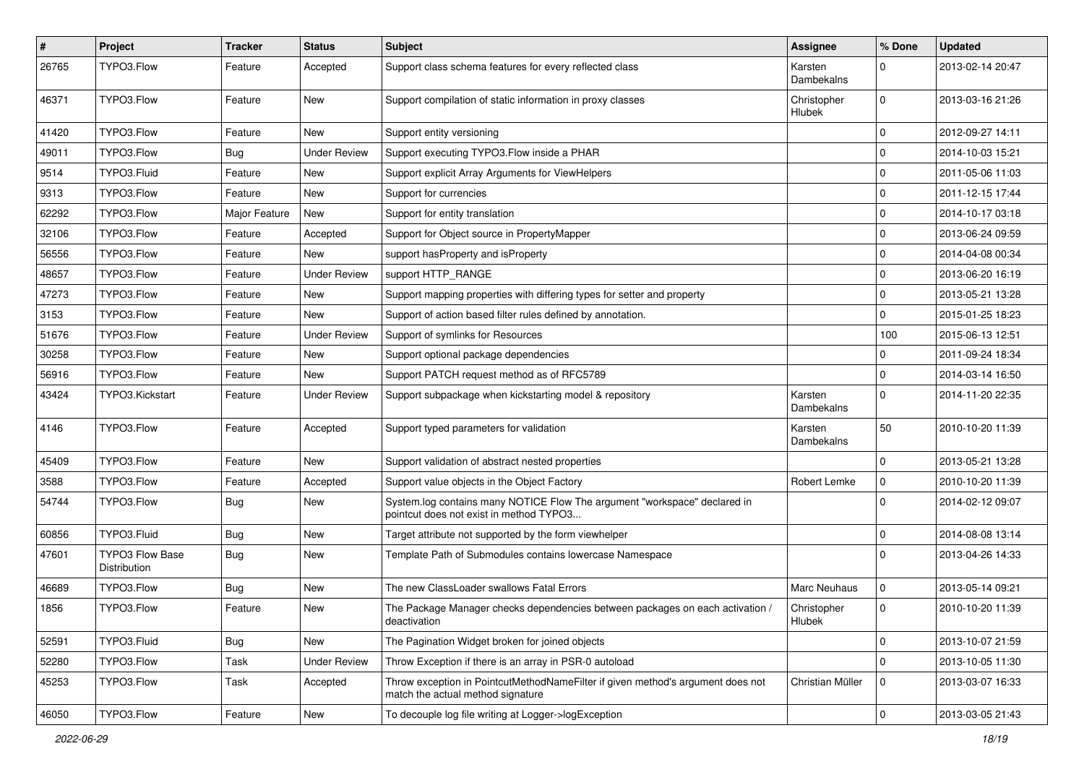| $\sharp$ | Project                                | <b>Tracker</b> | <b>Status</b>       | Subject                                                                                                              | <b>Assignee</b>              | % Done      | <b>Updated</b>   |
|----------|----------------------------------------|----------------|---------------------|----------------------------------------------------------------------------------------------------------------------|------------------------------|-------------|------------------|
| 26765    | TYPO3.Flow                             | Feature        | Accepted            | Support class schema features for every reflected class                                                              | Karsten<br>Dambekalns        | $\Omega$    | 2013-02-14 20:47 |
| 46371    | TYPO3.Flow                             | Feature        | New                 | Support compilation of static information in proxy classes                                                           | Christopher<br><b>Hlubek</b> | $\mathbf 0$ | 2013-03-16 21:26 |
| 41420    | TYPO3.Flow                             | Feature        | New                 | Support entity versioning                                                                                            |                              | 0           | 2012-09-27 14:11 |
| 49011    | TYPO3.Flow                             | <b>Bug</b>     | <b>Under Review</b> | Support executing TYPO3. Flow inside a PHAR                                                                          |                              | $\Omega$    | 2014-10-03 15:21 |
| 9514     | TYPO3.Fluid                            | Feature        | New                 | Support explicit Array Arguments for ViewHelpers                                                                     |                              | $\Omega$    | 2011-05-06 11:03 |
| 9313     | TYPO3.Flow                             | Feature        | New                 | Support for currencies                                                                                               |                              | $\Omega$    | 2011-12-15 17:44 |
| 62292    | TYPO3.Flow                             | Major Feature  | New                 | Support for entity translation                                                                                       |                              | $\Omega$    | 2014-10-17 03:18 |
| 32106    | TYPO3.Flow                             | Feature        | Accepted            | Support for Object source in PropertyMapper                                                                          |                              | $\mathbf 0$ | 2013-06-24 09:59 |
| 56556    | TYPO3.Flow                             | Feature        | New                 | support has Property and is Property                                                                                 |                              | $\mathbf 0$ | 2014-04-08 00:34 |
| 48657    | TYPO3.Flow                             | Feature        | <b>Under Review</b> | support HTTP_RANGE                                                                                                   |                              | $\mathbf 0$ | 2013-06-20 16:19 |
| 47273    | TYPO3.Flow                             | Feature        | <b>New</b>          | Support mapping properties with differing types for setter and property                                              |                              | $\Omega$    | 2013-05-21 13:28 |
| 3153     | TYPO3.Flow                             | Feature        | New                 | Support of action based filter rules defined by annotation.                                                          |                              | $\Omega$    | 2015-01-25 18:23 |
| 51676    | TYPO3.Flow                             | Feature        | Under Review        | Support of symlinks for Resources                                                                                    |                              | 100         | 2015-06-13 12:51 |
| 30258    | TYPO3.Flow                             | Feature        | New                 | Support optional package dependencies                                                                                |                              | 0           | 2011-09-24 18:34 |
| 56916    | TYPO3.Flow                             | Feature        | New                 | Support PATCH request method as of RFC5789                                                                           |                              | $\Omega$    | 2014-03-14 16:50 |
| 43424    | TYPO3.Kickstart                        | Feature        | Under Review        | Support subpackage when kickstarting model & repository                                                              | Karsten<br>Dambekalns        | $\Omega$    | 2014-11-20 22:35 |
| 4146     | TYPO3.Flow                             | Feature        | Accepted            | Support typed parameters for validation                                                                              | Karsten<br>Dambekalns        | 50          | 2010-10-20 11:39 |
| 45409    | TYPO3.Flow                             | Feature        | New                 | Support validation of abstract nested properties                                                                     |                              | $\Omega$    | 2013-05-21 13:28 |
| 3588     | TYPO3.Flow                             | Feature        | Accepted            | Support value objects in the Object Factory                                                                          | Robert Lemke                 | $\mathbf 0$ | 2010-10-20 11:39 |
| 54744    | TYPO3.Flow                             | <b>Bug</b>     | New                 | System.log contains many NOTICE Flow The argument "workspace" declared in<br>pointcut does not exist in method TYPO3 |                              | $\Omega$    | 2014-02-12 09:07 |
| 60856    | TYPO3.Fluid                            | <b>Bug</b>     | New                 | Target attribute not supported by the form viewhelper                                                                |                              | 0           | 2014-08-08 13:14 |
| 47601    | <b>TYPO3 Flow Base</b><br>Distribution | <b>Bug</b>     | New                 | Template Path of Submodules contains lowercase Namespace                                                             |                              | $\Omega$    | 2013-04-26 14:33 |
| 46689    | TYPO3.Flow                             | <b>Bug</b>     | New                 | The new ClassLoader swallows Fatal Errors                                                                            | <b>Marc Neuhaus</b>          | 0           | 2013-05-14 09:21 |
| 1856     | TYPO3.Flow                             | Feature        | New                 | The Package Manager checks dependencies between packages on each activation /<br>deactivation                        | Christopher<br>Hlubek        | 0           | 2010-10-20 11:39 |
| 52591    | TYPO3.Fluid                            | <b>Bug</b>     | New                 | The Pagination Widget broken for joined objects                                                                      |                              | 0           | 2013-10-07 21:59 |
| 52280    | TYPO3.Flow                             | Task           | <b>Under Review</b> | Throw Exception if there is an array in PSR-0 autoload                                                               |                              | $\mathbf 0$ | 2013-10-05 11:30 |
| 45253    | TYPO3.Flow                             | Task           | Accepted            | Throw exception in PointcutMethodNameFilter if given method's argument does not<br>match the actual method signature | Christian Müller             | 0           | 2013-03-07 16:33 |
| 46050    | TYPO3.Flow                             | Feature        | New                 | To decouple log file writing at Logger->logException                                                                 |                              | $\mathbf 0$ | 2013-03-05 21:43 |